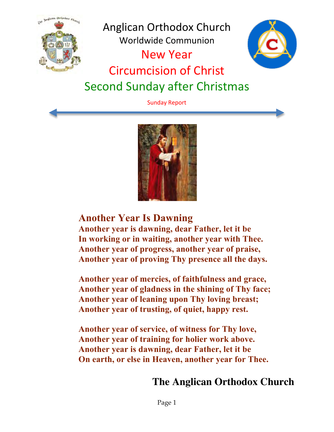

Sunday Report



## **Another Year Is Dawning**

**Another year is dawning, dear Father, let it be In working or in waiting, another year with Thee. Another year of progress, another year of praise, Another year of proving Thy presence all the days.** 

**Another year of mercies, of faithfulness and grace, Another year of gladness in the shining of Thy face; Another year of leaning upon Thy loving breast; Another year of trusting, of quiet, happy rest.** 

**Another year of service, of witness for Thy love, Another year of training for holier work above. Another year is dawning, dear Father, let it be On earth, or else in Heaven, another year for Thee.**

## **The Anglican Orthodox Church**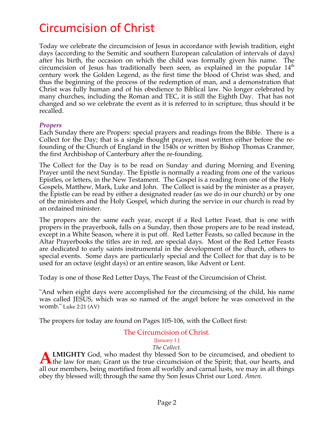# Circumcision of Christ

Today we celebrate the circumcision of Jesus in accordance with Jewish tradition, eight days (according to the Semitic and southern European calculation of intervals of days) after his birth, the occasion on which the child was formally given his name. The circumcision of Jesus has traditionally been seen, as explained in the popular  $14<sup>th</sup>$ century work the Golden Legend, as the first time the blood of Christ was shed, and thus the beginning of the process of the redemption of man, and a demonstration that Christ was fully human and of his obedience to Biblical law. No longer celebrated by many churches, including the Roman and TEC, it is still the Eighth Day. That has not changed and so we celebrate the event as it is referred to in scripture, thus should it be recalled.

#### *Propers*

Each Sunday there are Propers: special prayers and readings from the Bible. There is a Collect for the Day; that is a single thought prayer, most written either before the refounding of the Church of England in the 1540s or written by Bishop Thomas Cranmer, the first Archbishop of Canterbury after the re-founding.

The Collect for the Day is to be read on Sunday and during Morning and Evening Prayer until the next Sunday. The Epistle is normally a reading from one of the various Epistles, or letters, in the New Testament. The Gospel is a reading from one of the Holy Gospels, Matthew, Mark, Luke and John. The Collect is said by the minister as a prayer, the Epistle can be read by either a designated reader (as we do in our church) or by one of the ministers and the Holy Gospel, which during the service in our church is read by an ordained minister.

The propers are the same each year, except if a Red Letter Feast, that is one with propers in the prayerbook, falls on a Sunday, then those propers are to be read instead, except in a White Season, where it is put off. Red Letter Feasts, so called because in the Altar Prayerbooks the titles are in red, are special days. Most of the Red Letter Feasts are dedicated to early saints instrumental in the development of the church, others to special events. Some days are particularly special and the Collect for that day is to be used for an octave (eight days) or an entire season, like Advent or Lent.

Today is one of those Red Letter Days, The Feast of the Circumcision of Christ.

"And when eight days were accomplished for the circumcising of the child, his name was called JESUS, which was so named of the angel before he was conceived in the womb." Luke 2:21 (AV)

The propers for today are found on Pages 105-106, with the Collect first:

## The Circumcision of Christ.

#### [January 1.]

*The Collect.*

**LMIGHTY** God, who madest thy blessed Son to be circumcised, and obedient to **ALMIGHTY** God, who madest thy blessed Son to be circumcised, and obedient to the law for man; Grant us the true circumcision of the Spirit; that, our hearts, and all our members, being mortified from all worldly and carnal lusts, we may in all things obey thy blessed will; through the same thy Son Jesus Christ our Lord. *Amen.*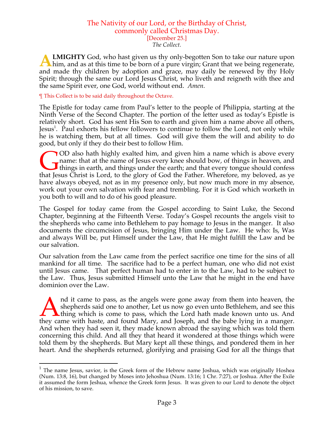## The Nativity of our Lord, or the Birthday of Christ, commonly called Christmas Day. [December 25.]

*The Collect.*

**LMIGHTY** God, who hast given us thy only-begotten Son to take our nature upon **A LMIGHTY** God, who hast given us thy only-begotten Son to take our nature upon him, and as at this time to be born of a pure virgin; Grant that we being regenerate, and made thy children by adoption and grace, may daily be renewed by thy Holy Spirit; through the same our Lord Jesus Christ, who liveth and reigneth with thee and the same Spirit ever, one God, world without end. *Amen.*

¶ This Collect is to be said daily throughout the Octave.

The Epistle for today came from Paul's letter to the people of Philippia, starting at the Ninth Verse of the Second Chapter. The portion of the letter used as today's Epistle is relatively short. God has sent His Son to earth and given him a name above all others, Jesus<sup>1</sup>. Paul exhorts his fellow followers to continue to follow the Lord, not only while he is watching them, but at all times. God will give them the will and ability to do good, but only if they do their best to follow Him.

OD also hath highly exalted him, and given him a name which is above every name: that at the name of Jesus every knee should bow, of things in heaven, and **I** things in earth, and things under the earth; and that every tongue should confess OD also hath highly exalted him, and given him a name which is above every name: that at the name of Jesus every knee should bow, of things in heaven, and things in earth, and things under the earth; and that every tongue have always obeyed, not as in my presence only, but now much more in my absence, work out your own salvation with fear and trembling. For it is God which worketh in you both to will and to do of his good pleasure.

The Gospel for today came from the Gospel according to Saint Luke, the Second Chapter, beginning at the Fifteenth Verse. Today's Gospel recounts the angels visit to the shepherds who came into Bethlehem to pay homage to Jesus in the manger. It also documents the circumcision of Jesus, bringing Him under the Law. He who: Is, Was and always Will be, put Himself under the Law, that He might fulfill the Law and be our salvation.

Our salvation from the Law came from the perfect sacrifice one time for the sins of all mankind for all time. The sacrifice had to be a perfect human, one who did not exist until Jesus came. That perfect human had to enter in to the Law, had to be subject to the Law. Thus, Jesus submitted Himself unto the Law that he might in the end have dominion over the Law.

nd it came to pass, as the angels were gone away from them into heaven, the shepherds said one to another, Let us now go even unto Bethlehem, and see this **L** thing which is come to pass, which the Lord hath made known unto us. And Ind it came to pass, as the angels were gone away from them into heaven, the shepherds said one to another, Let us now go even unto Bethlehem, and see this thing which is come to pass, which the Lord hath made known unto u And when they had seen it, they made known abroad the saying which was told them concerning this child. And all they that heard it wondered at those things which were told them by the shepherds. But Mary kept all these things, and pondered them in her heart. And the shepherds returned, glorifying and praising God for all the things that

 $1$  The name Jesus, savior, is the Greek form of the Hebrew name Joshua, which was originally Hoshea (Num. 13:8, 16), but changed by Moses into Jehoshua (Num. 13:16; 1 Chr. 7:27), or Joshua. After the Exile it assumed the form Jeshua, whence the Greek form Jesus. It was given to our Lord to denote the object of his mission, to save.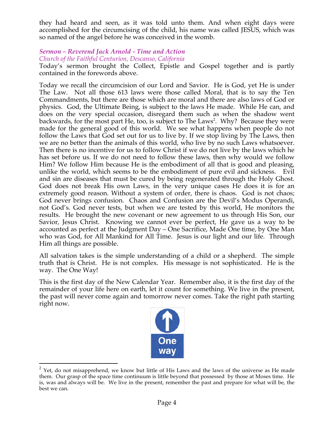they had heard and seen, as it was told unto them. And when eight days were accomplished for the circumcising of the child, his name was called JESUS, which was so named of the angel before he was conceived in the womb.

#### *Sermon – Reverend Jack Arnold - Time and Action Church of the Faithful Centurion, Descanso, California*

Today's sermon brought the Collect, Epistle and Gospel together and is partly contained in the forewords above.

Today we recall the circumcision of our Lord and Savior. He is God, yet He is under The Law. Not all those 613 laws were those called Moral, that is to say the Ten Commandments, but there are those which are moral and there are also laws of God or physics. God, the Ultimate Being, is subject to the laws He made. While He can, and does on the very special occasion, disregard them such as when the shadow went backwards, for the most part He, too, is subject to The Laws<sup>2</sup>. Why? Because they were made for the general good of this world. We see what happens when people do not follow the Laws that God set out for us to live by. If we stop living by The Laws, then we are no better than the animals of this world, who live by no such Laws whatsoever. Then there is no incentive for us to follow Christ if we do not live by the laws which he has set before us. If we do not need to follow these laws, then why would we follow Him? We follow Him because He is the embodiment of all that is good and pleasing, unlike the world, which seems to be the embodiment of pure evil and sickness. Evil and sin are diseases that must be cured by being regenerated through the Holy Ghost. God does not break His own Laws, in the very unique cases He does it is for an extremely good reason. Without a system of order, there is chaos. God is not chaos; God never brings confusion. Chaos and Confusion are the Devil's Modus Operandi, not God's. God never tests, but when we are tested by this world, He monitors the results. He brought the new covenant or new agreement to us through His Son, our Savior, Jesus Christ. Knowing we cannot ever be perfect, He gave us a way to be accounted as perfect at the Judgment Day – One Sacrifice, Made One time, by One Man who was God, for All Mankind for All Time. Jesus is our light and our life. Through Him all things are possible.

All salvation takes is the simple understanding of a child or a shepherd. The simple truth that is Christ. He is not complex. His message is not sophisticated. He is the way. The One Way!

This is the first day of the New Calendar Year. Remember also, it is the first day of the remainder of your life here on earth, let it count for something. We live in the present, the past will never come again and tomorrow never comes. Take the right path starting right now.



 $2$  Yet, do not misapprehend, we know but little of His Laws and the laws of the universe as He made them. Our grasp of the space time continuum is little beyond that possessed by those at Moses time. He is, was and always will be. We live in the present, remember the past and prepare for what will be, the best we can.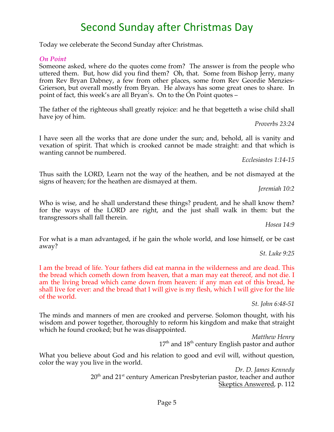#### Page 5

## Second Sunday after Christmas Day

Today we celeberate the Second Sunday after Christmas.

#### *On Point*

Someone asked, where do the quotes come from? The answer is from the people who uttered them. But, how did you find them? Oh, that. Some from Bishop Jerry, many from Rev Bryan Dabney, a few from other places, some from Rev Geordie Menzies-Grierson, but overall mostly from Bryan. He always has some great ones to share. In point of fact, this week's are all Bryan's. On to the On Point quotes –

The father of the righteous shall greatly rejoice: and he that begetteth a wise child shall have joy of him.

*Proverbs 23:24*

I have seen all the works that are done under the sun; and, behold, all is vanity and vexation of spirit. That which is crooked cannot be made straight: and that which is wanting cannot be numbered.

*Ecclesiastes 1:14-15*

Thus saith the LORD, Learn not the way of the heathen, and be not dismayed at the signs of heaven; for the heathen are dismayed at them.

*Jeremiah 10:2*

Who is wise, and he shall understand these things? prudent, and he shall know them? for the ways of the LORD are right, and the just shall walk in them: but the transgressors shall fall therein.

*Hosea 14:9*

For what is a man advantaged, if he gain the whole world, and lose himself, or be cast away?

*St. Luke 9:25*

I am the bread of life. Your fathers did eat manna in the wilderness and are dead. This the bread which cometh down from heaven, that a man may eat thereof, and not die. I am the living bread which came down from heaven: if any man eat of this bread, he shall live for ever: and the bread that I will give is my flesh, which I will give for the life of the world.

*St. John 6:48-51*

The minds and manners of men are crooked and perverse. Solomon thought, with his wisdom and power together, thoroughly to reform his kingdom and make that straight which he found crooked; but he was disappointed.

*Matthew Henry*  $17<sup>th</sup>$  and  $18<sup>th</sup>$  century English pastor and author

What you believe about God and his relation to good and evil will, without question, color the way you live in the world.

> *Dr. D. James Kennedy* 20<sup>th</sup> and 21<sup>st</sup> century American Presbyterian pastor, teacher and author Skeptics Answered, p. 112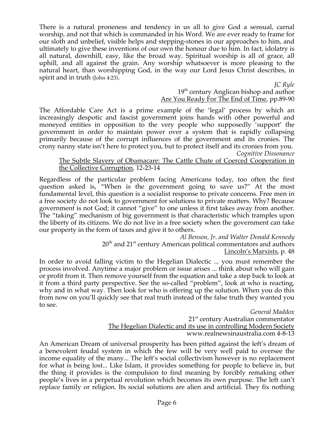There is a natural proneness and tendency in us all to give God a sensual, carnal worship, and not that which is commanded in his Word. We are ever ready to frame for our sloth and unbelief, visible helps and stepping-stones in our approaches to him, and ultimately to give these inventions of our own the honour due to him. In fact, idolatry is all natural, downhill, easy, like the broad way. Spiritual worship is all of grace, all uphill, and all against the grain. Any worship whatsoever is more pleasing to the natural heart, than worshipping God, in the way our Lord Jesus Christ describes, in spirit and in truth (John 4:23).

*JC Ryle*

#### 19<sup>th</sup> century Anglican bishop and author Are You Ready For The End of Time, pp.89-90

The Affordable Care Act is a prime example of the 'legal' process by which an increasingly despotic and fascist government joins hands with other powerful and moneyed entities in opposition to the very people who supposedly 'support' the government in order to maintain power over a system that is rapidly collapsing primarily because of the corrupt influences of the government and its cronies. The crony nanny state isn't here to protect you, but to protect itself and its cronies from you.

*Cognitive Dissonance* 

#### The Subtle Slavery of Obamacare: The Cattle Chute of Coerced Cooperation in the Collective Corruption, 12-23-14

Regardless of the particular problem facing Americans today, too often the first question asked is, "When is the government going to save us?" At the most fundamental level, this question is a socialist response to private concerns. Free men in a free society do not look to government for solutions to private matters. Why? Because government is not God; it cannot "give" to one unless it first takes away from another. The "taking" mechanism of big government is that characteristic which tramples upon the liberty of its citizens. We do not live in a free society when the government can take our property in the form of taxes and give it to others.

*Al Benson, Jr. and Walter Donald Kennedy* 20<sup>th</sup> and 21<sup>st</sup> century American political commentators and authors Lincoln's Marxists, p. 48

In order to avoid falling victim to the Hegelian Dialectic ... you must remember the process involved. Anytime a major problem or issue arises ... think about who will gain or profit from it. Then remove yourself from the equation and take a step back to look at it from a third party perspective. See the so-called "problem", look at who is reacting, why and in what way. Then look for who is offering up the solution. When you do this from now on you'll quickly see that real truth instead of the false truth they wanted you to see.

*General Maddox*  $21<sup>st</sup>$  century Australian commentator The Hegelian Dialectic and its use in controlling Modern Society www.realnewsinaustralia.com 4-8-13

An American Dream of universal prosperity has been pitted against the left's dream of a benevolent feudal system in which the few will be very well paid to oversee the income equality of the many... The left's social collectivism however is no replacement for what is being lost... Like Islam, it provides something for people to believe in, but the thing it provides is the compulsion to find meaning by forcibly remaking other people's lives in a perpetual revolution which becomes its own purpose. The left can't replace family or religion. Its social solutions are alien and artificial. They fix nothing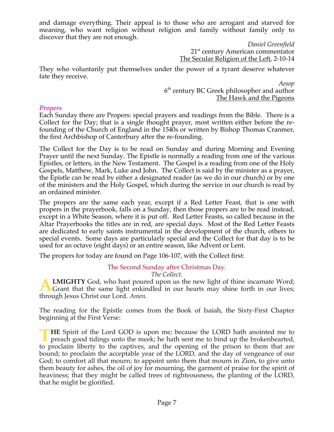and damage everything. Their appeal is to those who are arrogant and starved for meaning, who want religion without religion and family without family only to discover that they are not enough.

> *Daniel Greenfield* 21<sup>st</sup> century American commentator The Secular Religion of the Left, 2-10-14

They who voluntarily put themselves under the power of a tyrant deserve whatever fate they receive.

> *Aesop* 6<sup>th</sup> century BC Greek philosopher and author The Hawk and the Pigeons

#### *Propers*

Each Sunday there are Propers: special prayers and readings from the Bible. There is a Collect for the Day; that is a single thought prayer, most written either before the refounding of the Church of England in the 1540s or written by Bishop Thomas Cranmer, the first Archbishop of Canterbury after the re-founding.

The Collect for the Day is to be read on Sunday and during Morning and Evening Prayer until the next Sunday. The Epistle is normally a reading from one of the various Epistles, or letters, in the New Testament. The Gospel is a reading from one of the Holy Gospels, Matthew, Mark, Luke and John. The Collect is said by the minister as a prayer, the Epistle can be read by either a designated reader (as we do in our church) or by one of the ministers and the Holy Gospel, which during the service in our church is read by an ordained minister.

The propers are the same each year, except if a Red Letter Feast, that is one with propers in the prayerbook, falls on a Sunday, then those propers are to be read instead, except in a White Season, where it is put off. Red Letter Feasts, so called because in the Altar Prayerbooks the titles are in red, are special days. Most of the Red Letter Feasts are dedicated to early saints instrumental in the development of the church, others to special events. Some days are particularly special and the Collect for that day is to be used for an octave (eight days) or an entire season, like Advent or Lent.

The propers for today are found on Page 106-107, with the Collect first:

## The Second Sunday after Christmas Day.

*The Collect.*

**LMIGHTY** God, who hast poured upon us the new light of thine incarnate Word; **A LMIGHTY** God, who hast poured upon us the new light of thine incarnate Word;<br>Grant that the same light enkindled in our hearts may shine forth in our lives; through Jesus Christ our Lord. *Amen.*

The reading for the Epistle comes from the Book of Isaiah, the Sixty-First Chapter beginning at the First Verse:

**HE** Spirit of the Lord GOD is upon me; because the LORD hath anointed me to preach good tidings unto the meek; he hath sent me to bind up the brokenhearted, to proclaim liberty to the captives, and the opening of the prison to them that are bound; to proclaim the acceptable year of the LORD, and the day of vengeance of our God; to comfort all that mourn; to appoint unto them that mourn in Zion, to give unto them beauty for ashes, the oil of joy for mourning, the garment of praise for the spirit of heaviness; that they might be called trees of righteousness, the planting of the LORD, that he might be glorified. **T**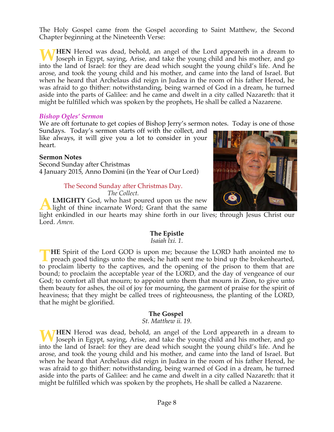The Holy Gospel came from the Gospel according to Saint Matthew, the Second Chapter beginning at the Nineteenth Verse:

**HEN** Herod was dead, behold, an angel of the Lord appeareth in a dream to Joseph in Egypt, saying, Arise, and take the young child and his mother, and go into the land of Israel: for they are dead which sought the young child's life. And he arose, and took the young child and his mother, and came into the land of Israel. But when he heard that Archelaus did reign in Judæa in the room of his father Herod, he was afraid to go thither: notwithstanding, being warned of God in a dream, he turned aside into the parts of Galilee: and he came and dwelt in a city called Nazareth: that it might be fulfilled which was spoken by the prophets, He shall be called a Nazarene. **W**

#### *Bishop Ogles' Sermon*

We are oft fortunate to get copies of Bishop Jerry's sermon notes. Today is one of those

Sundays. Today's sermon starts off with the collect, and like always, it will give you a lot to consider in your heart.

#### **Sermon Notes**

Second Sunday after Christmas 4 January 2015, Anno Domini (in the Year of Our Lord)

#### The Second Sunday after Christmas Day.

*The Collect.*

**LMIGHTY** God, who hast poured upon us the new light of thine incarnate Word; Grant that the same **A**

light enkindled in our hearts may shine forth in our lives; through Jesus Christ our Lord. *Amen.*

## **The Epistle**

*Isaiah lxi. 1.*

**HE** Spirit of the Lord GOD is upon me; because the LORD hath anointed me to preach good tidings unto the meek; he hath sent me to bind up the brokenhearted, to proclaim liberty to the captives, and the opening of the prison to them that are bound; to proclaim the acceptable year of the LORD, and the day of vengeance of our God; to comfort all that mourn; to appoint unto them that mourn in Zion, to give unto them beauty for ashes, the oil of joy for mourning, the garment of praise for the spirit of heaviness; that they might be called trees of righteousness, the planting of the LORD, that he might be glorified. **T**

#### **The Gospel**

*St. Matthew ii. 19.*

**HEN** Herod was dead, behold, an angel of the Lord appeareth in a dream to Joseph in Egypt, saying, Arise, and take the young child and his mother, and go into the land of Israel: for they are dead which sought the young child's life. And he arose, and took the young child and his mother, and came into the land of Israel. But when he heard that Archelaus did reign in Judæa in the room of his father Herod, he was afraid to go thither: notwithstanding, being warned of God in a dream, he turned aside into the parts of Galilee: and he came and dwelt in a city called Nazareth: that it might be fulfilled which was spoken by the prophets, He shall be called a Nazarene. **W**

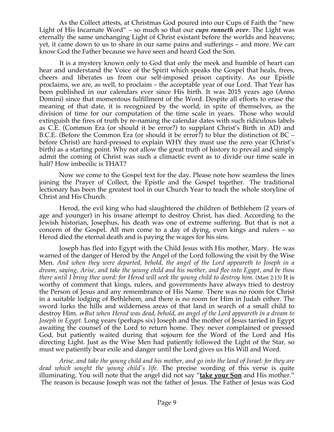As the Collect attests, at Christmas God poured into our Cups of Faith the "new Light of His Incarnate Word" – so much so that our *cups runneth over*. The Light was eternally the same unchanging Light of Christ existant before the worlds and heavens; yet, it came down to us to share in our same pains and sufferings – and more. We can know God the Father because we have seen and heard God the Son.

 It is a mystery known only to God that only the meek and humble of heart can hear and understand the Voice of the Spirit which speaks the Gospel that heals, frees, cheers and liberates us from our self-imposed prison captivity. As our Epistle proclaims, we are, as well, to proclaim – the acceptable year of our Lord. That Year has been published in our calendars ever since His birth. It was 2015 years ago (Anno Domini) since that momentous fulfillment of the Word. Despite all efforts to erase the meaning of that date, it is recognized by the world, in spite of themselves, as the division of time for our computation of the time scale in years. Those who would extinguish the fires of truth by re-naming the calendar dates with such ridiculous labels as C.E. (Common Era (or should it be error?) to supplant Christ's Birth in AD) and B.C.E. (Before the Common Era (or should it be error?) to blur the distinction of BC – before Christ) are hard-pressed to explain WHY they must use the zero year (Christ's birth) as a starting point. Why not allow the great truth of history to prevail and simply admit the coming of Christ was such a climactic event as to divide our time scale in half? How imbecilic is THAT?

 Now we come to the Gospel text for the day. Please note how seamless the lines joining the Prayer of Collect, the Epistle and the Gospel together. The traditional lectionary has been the greatest tool in our Church Year to teach the whole storyline of Christ and His Church.

 Herod, the evil king who had slaughtered the children of Bethlehem (2 years of age and younger) in his insane attempt to destroy Christ, has died. According to the Jewish historian, Josephus, his death was one of extreme suffering. But that is not a concern of the Gospel. All men come to a day of dying, even kings and rulers – so Herod died the eternal death and is paying the wages for his sins.

 Joseph has fled into Egypt with the Child Jesus with His mother, Mary. He was warned of the danger of Herod by the Angel of the Lord following the visit by the Wise Men. *And when they were departed, behold, the angel of the Lord appeareth to Joseph in a dream, saying, Arise, and take the young child and his mother, and flee into Egypt, and be thou there until I bring thee word: for Herod will seek the young child to destroy him*. (Matt 2:13) It is worthy of comment that kings, rulers, and governments have always tried to destroy the Person of Jesus and any remembrance of His Name. There was no room for Christ in a suitable lodging of Bethlehem, and there is no room for Him in Judah either. The sword lurks the hills and wilderness areas of that land in search of a small child to destroy Him. *<sup>19</sup> But when Herod was dead, behold, an angel of the Lord appeareth in a dream to Joseph in Egypt.* Long years (perhaps six) Joseph and the mother of Jesus tarried in Egypt awaiting the counsel of the Lord to return home. They never complained or pressed God, but patiently waited during that sojourn for the Word of the Lord and His directing Light. Just as the Wise Men had patiently followed the Light of the Star, so must we patiently bear exile and danger until the Lord gives us His Will and Word.

 *Arise, and take the young child and his mother, and go into the land of Israel: for they are dead which sought the young child's life.* The precise wording of this verse is quite illuminating. You will note that the angel did not say "**take your Son** and His mother." The reason is because Joseph was not the father of Jesus. The Father of Jesus was God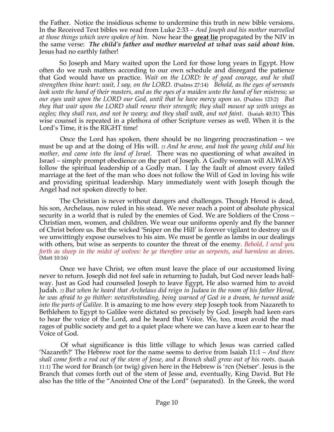the Father. Notice the insidious scheme to undermine this truth in new bible versions. In the Received Text bibles we read from Luke 2:33 – *And Joseph and his mother marvelled at those things which were spoken of him.* Now hear the **great lie** propagated by the NIV in the same verse: *The child's father and mother marveled at what was said about him.* Jesus had no earthly father!

 So Joseph and Mary waited upon the Lord for those long years in Egypt. How often do we rush matters according to our own schedule and disregard the patience that God would have us practice. *Wait on the LORD: be of good courage, and he shall strengthen thine heart: wait, I say, on the LORD*. (Psalms 27:14) *Behold, as the eyes of servants look unto the hand of their masters, and as the eyes of a maiden unto the hand of her mistress; so our eyes wait upon the LORD our God, until that he have mercy upon us*. (Psalms 123:2) *But they that wait upon the LORD shall renew their strength; they shall mount up with wings as eagles; they shall run, and not be weary; and they shall walk, and not faint*. (Isaiah 40:31) This wise counsel is repeated in a plethora of other Scripture verses as well. When it is the Lord's Time, it is the RIGHT time!

 Once the Lord has spoken, there should be no lingering procrastination – we must be up and at the doing of His will. *<sup>21</sup> And he arose, and took the young child and his mother, and came into the land of Israel*. There was no questioning of what awaited in Israel – simply prompt obedience on the part of Joseph. A Godly woman will ALWAYS follow the spiritual leadership of a Godly man. I lay the fault of almost every failed marriage at the feet of the man who does not follow the Will of God in loving his wife and providing spiritual leadership. Mary immediately went with Joseph though the Angel had not spoken directly to her.

 The Christian is never without dangers and challenges. Though Herod is dead, his son, Archelaus, now ruled in his stead. We never reach a point of absolute physical security in a world that is ruled by the enemies of God. We are Soldiers of the Cross – Christian men, women, and children. We wear our uniforms openly and fly the banner of Christ before us. But the wicked 'Sniper on the Hill' is forever vigilant to destroy us if we unwittingly expose ourselves to his aim. We must be gentle as lambs in our dealings with others, but wise as serpents to counter the threat of the enemy. *Behold, I send you forth as sheep in the midst of wolves: be ye therefore wise as serpents, and harmless as doves*. (Matt 10:16)

 Once we have Christ, we often must leave the place of our accustomed living never to return. Joseph did not feel safe in returning to Judah, but God never leads halfway. Just as God had counseled Joseph to leave Egypt, He also warned him to avoid Judah. *<sup>22</sup> But when he heard that Archelaus did reign in Judaea in the room of his father Herod, he was afraid to go thither: notwithstanding, being warned of God in a dream, he turned aside into the parts of Galilee.* It is amazing to me how every step Joseph took from Nazareth to Bethlehem to Egypt to Galilee were dictated so precisely by God. Joseph had keen ears to hear the voice of the Lord, and he heard that Voice. We, too, must avoid the mad rages of public society and get to a quiet place where we can have a keen ear to hear the Voice of God.

 Of what significance is this little village to which Jesus was carried called 'Nazareth?' The Hebrew root for the name seems to derive from Isaiah 11:1 – *And there shall come forth a rod out of the stem of Jesse, and a Branch shall grow out of his roots*. (Isaiah 11:1) The word for Branch (or twig) given here in the Hebrew is 'rcn (Netser'. Jesus is the Branch that comes forth out of the stem of Jesse and, eventually, King David. But He also has the title of the "Anointed One of the Lord" (separated). In the Greek, the word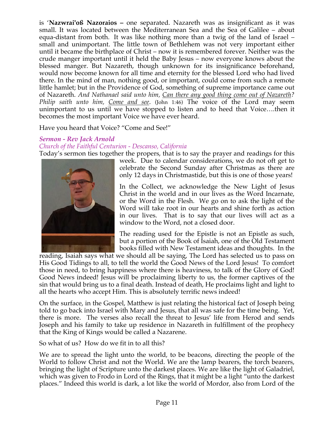is '**Nazwrai'oß Nazoraios –** one separated. Nazareth was as insignificant as it was small. It was located between the Mediterranean Sea and the Sea of Galilee – about equa-distant from both. It was like nothing more than a twig of the land of Israel – small and unimportant. The little town of Bethlehem was not very important either until it became the birthplace of Christ – now it is remembered forever. Neither was the crude manger important until it held the Baby Jesus – now everyone knows about the blessed manger. But Nazareth, though unknown for its insignificance beforehand, would now become known for all time and eternity for the blessed Lord who had lived there. In the mind of man, nothing good, or important, could come from such a remote little hamlet; but in the Providence of God, something of supreme importance came out of Nazareth. *And Nathanael said unto him, Can there any good thing come out of Nazareth? Philip saith unto him, Come and see*. (John 1:46) The voice of the Lord may seem unimportant to us until we have stopped to listen and to heed that Voice….then it becomes the most important Voice we have ever heard.

Have you heard that Voice? "Come and See!"

## *Sermon - Rev Jack Arnold*

#### *Church of the Faithful Centurion - Descanso, California*

Today's sermon ties together the propers, that is to say the prayer and readings for this



week. Due to calendar considerations, we do not oft get to celebrate the Second Sunday after Christmas as there are only 12 days in Christmastide, but this is one of those years!

In the Collect, we acknowledge the New Light of Jesus Christ in the world and in our lives as the Word Incarnate, or the Word in the Flesh. We go on to ask the light of the Word will take root in our hearts and shine forth as action in our lives. That is to say that our lives will act as a window to the Word, not a closed door.

The reading used for the Epistle is not an Epistle as such, but a portion of the Book of Isaiah, one of the Old Testament books filled with New Testament ideas and thoughts. In the

reading, Isaiah says what we should all be saying, The Lord has selected us to pass on His Good Tidings to all, to tell the world the Good News of the Lord Jesus! To comfort those in need, to bring happiness where there is heaviness, to talk of the Glory of God! Good News indeed! Jesus will be proclaiming liberty to us, the former captives of the sin that would bring us to a final death. Instead of death, He proclaims light and light to all the hearts who accept Him. This is absolutely terrific news indeed!

On the surface, in the Gospel, Matthew is just relating the historical fact of Joseph being told to go back into Israel with Mary and Jesus, that all was safe for the time being. Yet, there is more. The verses also recall the threat to Jesus' life from Herod and sends Joseph and his family to take up residence in Nazareth in fulfillment of the prophecy that the King of Kings would be called a Nazarene.

So what of us? How do we fit in to all this?

We are to spread the light unto the world, to be beacons, directing the people of the World to follow Christ and not the World. We are the lamp bearers, the torch bearers, bringing the light of Scripture unto the darkest places. We are like the light of Galadriel, which was given to Frodo in Lord of the Rings, that it might be a light "unto the darkest places." Indeed this world is dark, a lot like the world of Mordor, also from Lord of the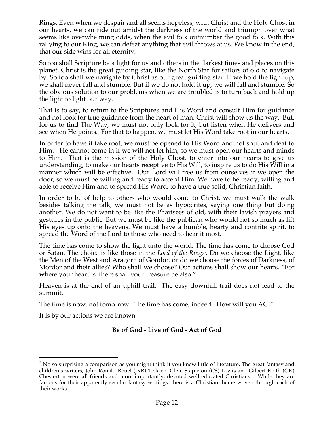Rings. Even when we despair and all seems hopeless, with Christ and the Holy Ghost in our hearts, we can ride out amidst the darkness of the world and triumph over what seems like overwhelming odds, when the evil folk outnumber the good folk. With this rallying to our King, we can defeat anything that evil throws at us. We know in the end, that our side wins for all eternity.

So too shall Scripture be a light for us and others in the darkest times and places on this planet. Christ is the great guiding star, like the North Star for sailors of old to navigate by. So too shall we navigate by Christ as our great guiding star. If we hold the light up, we shall never fall and stumble. But if we do not hold it up, we will fall and stumble. So the obvious solution to our problems when we are troubled is to turn back and hold up the light to light our way.

That is to say, to return to the Scriptures and His Word and consult Him for guidance and not look for true guidance from the heart of man. Christ will show us the way. But, for us to find The Way, we must not only look for it, but listen when He delivers and see when He points. For that to happen, we must let His Word take root in our hearts.

In order to have it take root, we must be opened to His Word and not shut and deaf to Him. He cannot come in if we will not let him, so we must open our hearts and minds to Him. That is the mission of the Holy Ghost, to enter into our hearts to give us understanding, to make our hearts receptive to His Will, to inspire us to do His Will in a manner which will be effective. Our Lord will free us from ourselves if we open the door, so we must be willing and ready to accept Him. We have to be ready, willing and able to receive Him and to spread His Word, to have a true solid, Christian faith.

In order to be of help to others who would come to Christ, we must walk the walk besides talking the talk; we must not be as hypocrites, saying one thing but doing another. We do not want to be like the Pharisees of old, with their lavish prayers and gestures in the public. But we must be like the publican who would not so much as lift His eyes up onto the heavens. We must have a humble, hearty and contrite spirit, to spread the Word of the Lord to those who need to hear it most.

The time has come to show the light unto the world. The time has come to choose God or Satan. The choice is like those in the *Lord of the Rings*<sup>3</sup>. Do we choose the Light, like the Men of the West and Aragorn of Gondor, or do we choose the forces of Darkness, of Mordor and their allies? Who shall we choose? Our actions shall show our hearts. "For where your heart is, there shall your treasure be also."

Heaven is at the end of an uphill trail. The easy downhill trail does not lead to the summit.

The time is now, not tomorrow. The time has come, indeed. How will you ACT?

It is by our actions we are known.

## **Be of God - Live of God - Act of God**

 $3$  No so surprising a comparison as you might think if you knew little of literature. The great fantasy and children's writers, John Ronald Reuel (JRR) Tolkien, Clive Stapleton (CS) Lewis and Gilbert Keith (GK) Chesterton were all friends and more importantly, devoted well educated Christians. While they are famous for their apparently secular fantasy writings, there is a Christian theme woven through each of their works.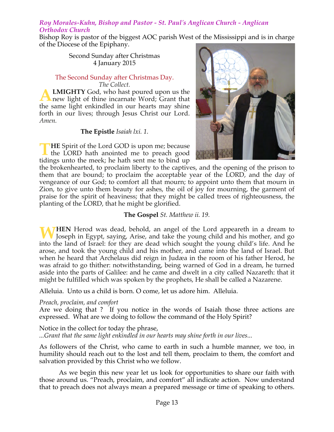#### *Roy Morales-Kuhn, Bishop and Pastor - St. Paul's Anglican Church - Anglican Orthodox Church*

Bishop Roy is pastor of the biggest AOC parish West of the Mississippi and is in charge of the Diocese of the Epiphany.

#### Second Sunday after Christmas 4 January 2015

#### The Second Sunday after Christmas Day. *The Collect.*

**LMIGHTY** God, who hast poured upon us the new light of thine incarnate Word; Grant that the same light enkindled in our hearts may shine forth in our lives; through Jesus Christ our Lord. *Amen.* **A**

#### **The Epistle** *Isaiah lxi. 1.*

**HE** Spirit of the Lord GOD is upon me; because the LORD hath anointed me to preach good tidings unto the meek; he hath sent me to bind up **T**



the brokenhearted, to proclaim liberty to the captives, and the opening of the prison to them that are bound; to proclaim the acceptable year of the LORD, and the day of vengeance of our God; to comfort all that mourn; to appoint unto them that mourn in Zion, to give unto them beauty for ashes, the oil of joy for mourning, the garment of praise for the spirit of heaviness; that they might be called trees of righteousness, the planting of the LORD, that he might be glorified.

## **The Gospel** *St. Matthew ii. 19.*

**HEN** Herod was dead, behold, an angel of the Lord appeareth in a dream to Joseph in Egypt, saying, Arise, and take the young child and his mother, and go into the land of Israel: for they are dead which sought the young child's life. And he arose, and took the young child and his mother, and came into the land of Israel. But when he heard that Archelaus did reign in Judæa in the room of his father Herod, he was afraid to go thither: notwithstanding, being warned of God in a dream, he turned aside into the parts of Galilee: and he came and dwelt in a city called Nazareth: that it might be fulfilled which was spoken by the prophets, He shall be called a Nazarene. **W**

Alleluia. Unto us a child is born. O come, let us adore him. Alleluia.

## *Preach, proclaim, and comfort*

Are we doing that ? If you notice in the words of Isaiah those three actions are expressed. What are we doing to follow the command of the Holy Spirit?

Notice in the collect for today the phrase,

*...Grant that the same light enkindled in our hearts may shine forth in our lives...*

As followers of the Christ, who came to earth in such a humble manner, we too, in humility should reach out to the lost and tell them, proclaim to them, the comfort and salvation provided by this Christ who we follow.

As we begin this new year let us look for opportunities to share our faith with those around us. "Preach, proclaim, and comfort" all indicate action. Now understand that to preach does not always mean a prepared message or time of speaking to others.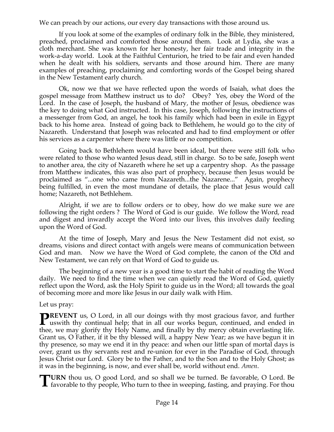We can preach by our actions, our every day transactions with those around us.

If you look at some of the examples of ordinary folk in the Bible, they ministered, preached, proclaimed and comforted those around them. Look at Lydia, she was a cloth merchant. She was known for her honesty, her fair trade and integrity in the work-a-day world. Look at the Faithful Centurion, he tried to be fair and even handed when he dealt with his soldiers, servants and those around him. There are many examples of preaching, proclaiming and comforting words of the Gospel being shared in the New Testament early church.

Ok, now we that we have reflected upon the words of Isaiah, what does the gospel message from Matthew instruct us to do? Obey? Yes, obey the Word of the Lord. In the case of Joseph, the husband of Mary, the mother of Jesus, obedience was the key to doing what God instructed. In this case, Joseph, following the instructions of a messenger from God, an angel, he took his family which had been in exile in Egypt back to his home area. Instead of going back to Bethlehem, he would go to the city of Nazareth. Understand that Joseph was relocated and had to find employment or offer his services as a carpenter where there was little or no competition.

Going back to Bethlehem would have been ideal, but there were still folk who were related to those who wanted Jesus dead, still in charge. So to be safe, Joseph went to another area, the city of Nazareth where he set up a carpentry shop. As the passage from Matthew indicates, this was also part of prophecy, because then Jesus would be proclaimed as "...one who came from Nazareth...the Nazarene..." Again, prophecy being fulfilled, in even the most mundane of details, the place that Jesus would call home; Nazareth, not Bethlehem.

Alright, if we are to follow orders or to obey, how do we make sure we are following the right orders ? The Word of God is our guide. We follow the Word, read and digest and inwardly accept the Word into our lives, this involves daily feeding upon the Word of God.

At the time of Joseph, Mary and Jesus the New Testament did not exist, so dreams, visions and direct contact with angels were means of communication between God and man. Now we have the Word of God complete, the canon of the Old and New Testament, we can rely on that Word of God to guide us.

The beginning of a new year is a good time to start the habit of reading the Word daily. We need to find the time when we can quietly read the Word of God, quietly reflect upon the Word, ask the Holy Spirit to guide us in the Word; all towards the goal of becoming more and more like Jesus in our daily walk with Him.

#### Let us pray:

**REVENT** us, O Lord, in all our doings with thy most gracious favor, and further **PREVENT** us, O Lord, in all our doings with thy most gracious favor, and further uswith thy continual help; that in all our works begun, continued, and ended in thee, we may glorify thy Holy Name, and finally by thy mercy obtain everlasting life. Grant us, O Father, if it be thy blessed will, a happy New Year; as we have begun it in thy presence, so may we end it in thy peace: and when our little span of mortal days is over, grant us thy servants rest and re-union for ever in the Paradise of God, through Jesus Christ our Lord. Glory be to the Father, and to the Son and to the Holy Ghost; as it was in the beginning, is now, and ever shall be, world without end. *Amen*.

**URN** thou us, O good Lord, and so shall we be turned. Be favorable, O Lord. Be **favorable to thy people, Who turn to thee in weeping, fasting, and praying. For thou favorable to thy people, Who turn to thee in weeping, fasting, and praying. For thou**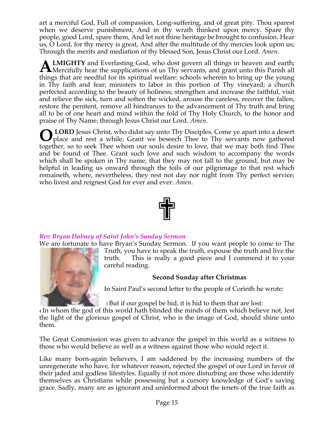art a merciful God, Full of compassion, Long-suffering, and of great pity. Thou sparest when we deserve punishment, And in thy wrath thinkest upon mercy. Spare thy people, good Lord, spare them, And let not thine heritage be brought to confusion. Hear us, O Lord, for thy mercy is great, And after the multitude of thy mercies look upon us; Through the merits and mediation of thy blessed Son, Jesus Christ our Lord. *Amen*.

**LMIGHTY** and Everlasting God, who dost govern all things in heaven and earth; **ALMIGHTY** and Everlasting God, who dost govern all things in heaven and earth;<br>Mercifully hear the supplications of us Thy servants, and grant unto this Parish all things that are needful for its spiritual welfare: schools wherein to bring up the young in Thy faith and fear; ministers to labor in this portion of Thy vineyard; a church perfected according to the beauty of holiness; strengthen and increase the faithful, visit and relieve the sick, turn and soften the wicked, arouse the careless, recover the fallen, restore the penitent, remove all hindrances to the advancement of Thy truth and bring all to be of one heart and mind within the fold of Thy Holy Church, to the honor and praise of Thy Name; through Jesus Christ our Lord. *Amen*.

 **LORD** Jesus Christ, who didst say unto Thy Disciples, Come ye apart into a desert place and rest a while; Grant we beseech Thee to Thy servants now gathered together, so to seek Thee whom our souls desire to love, that we may both find Thee and be found of Thee. Grant such love and such wisdom to accompany the words which shall be spoken in Thy name, that they may not fall to the ground, but may be helpful in leading us onward through the toils of our pilgrimage to that rest which remaineth, where, nevertheless, they rest not day nor night from Thy perfect service; who livest and reignest God for ever and ever. *Amen*. **O**



## *Rev Bryan Dabney of Saint John's Sunday Sermon*

We are fortunate to have Bryan's Sunday Sermon. If you want people to come to The



Truth, you have to speak the truth, expouse the truth and live the truth. This is really a good piece and I commend it to your careful reading.

## **Second Sunday after Christmas**

In Saint Paul's second letter to the people of Corinth he wrote:

<sup>3</sup> But if our gospel be hid, it is hid to them that are lost:

<sup>4</sup> In whom the god of this world hath blinded the minds of them which believe not, lest the light of the glorious gospel of Christ, who is the image of God, should shine unto them.

The Great Commission was given to advance the gospel in this world as a witness to those who would believe as well as a witness against those who would reject it.

Like many born-again believers, I am saddened by the increasing numbers of the unregenerate who have, for whatever reason, rejected the gospel of our Lord in favor of their jaded and godless lifestyles. Equally if not more disturbing are those who identify themselves as Christians while possessing but a cursory knowledge of God's saving grace. Sadly, many are as ignorant and uninformed about the tenets of the true faith as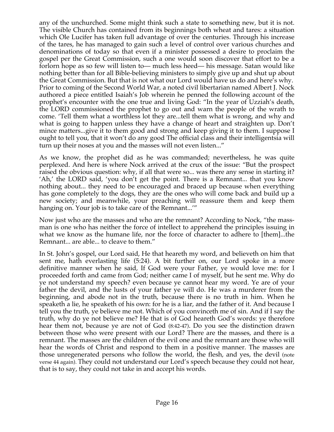any of the unchurched. Some might think such a state to something new, but it is not. The visible Church has contained from its beginnings both wheat and tares: a situation which Ole Lucifer has taken full advantage of over the centuries. Through his increase of the tares, he has managed to gain such a level of control over various churches and denominations of today so that even if a minister possessed a desire to proclaim the gospel per the Great Commission, such a one would soon discover that effort to be a forlorn hope as so few will listen to— much less heed— his message. Satan would like nothing better than for all Bible-believing ministers to simply give up and shut up about the Great Commission. But that is not what our Lord would have us do and here's why. Prior to coming of the Second World War, a noted civil libertarian named Albert J. Nock authored a piece entitled Isaiah's Job wherein he penned the following account of the prophet's encounter with the one true and living God: "In the year of Uzziah's death, the LORD commissioned the prophet to go out and warn the people of the wrath to come. 'Tell them what a worthless lot they are...tell them what is wrong, and why and what is going to happen unless they have a change of heart and straighten up. Don't mince matters...give it to them good and strong and keep giving it to them. I suppose I ought to tell you, that it won't do any good The official class and their intelligentsia will turn up their noses at you and the masses will not even listen..."

As we know, the prophet did as he was commanded; nevertheless, he was quite perplexed. And here is where Nock arrived at the crux of the issue: "But the prospect raised the obvious question: why, if all that were so... was there any sense in starting it? 'Ah,' the LORD said, 'you don't get the point. There is a Remnant... that you know nothing about... they need to be encouraged and braced up because when everything has gone completely to the dogs, they are the ones who will come back and build up a new society; and meanwhile, your preaching will reassure them and keep them hanging on. Your job is to take care of the Remnant...'"

Now just who are the masses and who are the remnant? According to Nock, "the massman is one who has neither the force of intellect to apprehend the principles issuing in what we know as the humane life, nor the force of character to adhere to [them]...the Remnant... are able... to cleave to them."

In St. John's gospel, our Lord said, He that heareth my word, and believeth on him that sent me, hath everlasting life (5:24). A bit further on, our Lord spoke in a more definitive manner when he said, If God were your Father, ye would love me: for I proceeded forth and came from God; neither came I of myself, but he sent me. Why do ye not understand my speech? even because ye cannot hear my word. Ye are of your father the devil, and the lusts of your father ye will do. He was a murderer from the beginning, and abode not in the truth, because there is no truth in him. When he speaketh a lie, he speaketh of his own: for he is a liar, and the father of it. And because I tell you the truth, ye believe me not. Which of you convinceth me of sin. And if I say the truth, why do ye not believe me? He that is of God heareth God's words: ye therefore hear them not, because ye are not of God (8:42-47). Do you see the distinction drawn between those who were present with our Lord? There are the masses, and there is a remnant. The masses are the children of the evil one and the remnant are those who will hear the words of Christ and respond to them in a positive manner. The masses are those unregenerated persons who follow the world, the flesh, and yes, the devil (note verse 44 again). They could not understand our Lord's speech because they could not hear, that is to say, they could not take in and accept his words.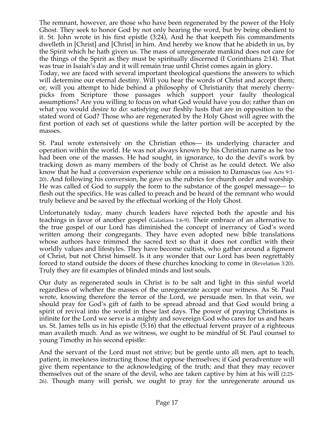The remnant, however, are those who have been regenerated by the power of the Holy Ghost. They seek to honor God by not only hearing the word, but by being obedient to it. St. John wrote in his first epistle (3:24), And he that keepeth his commandments dwelleth in [Christ] and [Christ] in him. And hereby we know that he abideth in us, by the Spirit which he hath given us. The mass of unregenerate mankind does not care for the things of the Spirit as they must be spiritually discerned (I Corinthians 2:14). That was true in Isaiah's day and it will remain true until Christ comes again in glory.

Today, we are faced with several important theological questions the answers to which will determine our eternal destiny. Will you hear the words of Christ and accept them; or, will you attempt to hide behind a philosophy of Christianity that merely cherrypicks from Scripture those passages which support your faulty theological assumptions? Are you willing to focus on what God would have you do; rather than on what you would desire to do: satisfying our fleshly lusts that are in opposition to the stated word of God? Those who are regenerated by the Holy Ghost will agree with the first portion of each set of questions while the latter portion will be accepted by the masses.

St. Paul wrote extensively on the Christian ethos— its underlying character and operation within the world. He was not always known by his Christian name as he too had been one of the masses. He had sought, in ignorance, to do the devil's work by tracking down as many members of the body of Christ as he could detect. We also know that he had a conversion experience while on a mission to Damascus (see Acts 9:1- 20). And following his conversion, he gave us the rubrics for church order and worship. He was called of God to supply the form to the substance of the gospel message— to flesh out the specifics. He was called to preach and be heard of the remnant who would truly believe and be saved by the effectual working of the Holy Ghost.

Unfortunately today, many church leaders have rejected both the apostle and his teachings in favor of another gospel (Galatians 1:6-9). Their embrace of an alternative to the true gospel of our Lord has diminished the concept of inerrancy of God's word written among their congregants. They have even adopted new bible translations whose authors have trimmed the sacred text so that it does not conflict with their worldly values and lifestyles. They have become cultists, who gather around a figment of Christ, but not Christ himself. Is it any wonder that our Lord has been regrettably forced to stand outside the doors of these churches knocking to come in (Revelation 3:20). Truly they are fit examples of blinded minds and lost souls.

Our duty as regenerated souls in Christ is to be salt and light in this sinful world regardless of whether the masses of the unregenerate accept our witness. As St. Paul wrote, knowing therefore the terror of the Lord, we persuade men. In that vein, we should pray for God's gift of faith to be spread abroad and that God would bring a spirit of revival into the world in these last days. The power of praying Christians is infinite for the Lord we serve is a mighty and sovereign God who cares for us and hears us. St. James tells us in his epistle (5:16) that the effectual fervent prayer of a righteous man availeth much. And as we witness, we ought to be mindful of St. Paul counsel to young Timothy in his second epistle:

And the servant of the Lord must not strive; but be gentle unto all men, apt to teach, patient, in meekness instructing those that oppose themselves; if God peradventure will give them repentance to the acknowledging of the truth; and that they may recover themselves out of the snare of the devil, who are taken captive by him at his will (2:25- 26). Though many will perish, we ought to pray for the unregenerate around us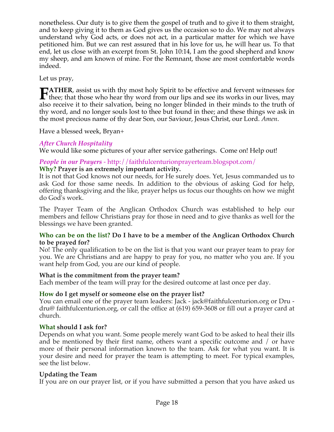nonetheless. Our duty is to give them the gospel of truth and to give it to them straight, and to keep giving it to them as God gives us the occasion so to do. We may not always understand why God acts, or does not act, in a particular matter for which we have petitioned him. But we can rest assured that in his love for us, he will hear us. To that end, let us close with an excerpt from St. John 10:14, I am the good shepherd and know my sheep, and am known of mine. For the Remnant, those are most comfortable words indeed.

Let us pray,

**ATHER**, assist us with thy most holy Spirit to be effective and fervent witnesses for **FATHER**, assist us with thy most holy Spirit to be effective and fervent witnesses for thee; that those who hear thy word from our lips and see its works in our lives, may also the those who hear thy word from our lips an also receive it to their salvation, being no longer blinded in their minds to the truth of thy word, and no longer souls lost to thee but found in thee; and these things we ask in the most precious name of thy dear Son, our Saviour, Jesus Christ, our Lord. *Amen*.

Have a blessed week, Bryan+

## *After Church Hospitality*

We would like some pictures of your after service gatherings. Come on! Help out!

## *People in our Prayers* - http://faithfulcenturionprayerteam.blogspot.com/

## **Why? Prayer is an extremely important activity.**

It is not that God knows not our needs, for He surely does. Yet, Jesus commanded us to ask God for those same needs. In addition to the obvious of asking God for help, offering thanksgiving and the like, prayer helps us focus our thoughts on how we might do God's work.

The Prayer Team of the Anglican Orthodox Church was established to help our members and fellow Christians pray for those in need and to give thanks as well for the blessings we have been granted.

## **Who can be on the list? Do I have to be a member of the Anglican Orthodox Church to be prayed for?**

No! The only qualification to be on the list is that you want our prayer team to pray for you. We are Christians and are happy to pray for you, no matter who you are. If you want help from God, you are our kind of people.

## **What is the commitment from the prayer team?**

Each member of the team will pray for the desired outcome at last once per day.

## **How do I get myself or someone else on the prayer list?**

You can email one of the prayer team leaders: Jack - jack@faithfulcenturion.org or Dru dru@ faithfulcenturion.org, or call the office at (619) 659-3608 or fill out a prayer card at church.

## **What should I ask for?**

Depends on what you want. Some people merely want God to be asked to heal their ills and be mentioned by their first name, others want a specific outcome and / or have more of their personal information known to the team. Ask for what you want. It is your desire and need for prayer the team is attempting to meet. For typical examples, see the list below.

## **Updating the Team**

If you are on our prayer list, or if you have submitted a person that you have asked us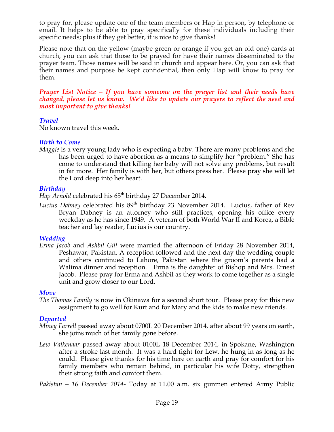to pray for, please update one of the team members or Hap in person, by telephone or email. It helps to be able to pray specifically for these individuals including their specific needs; plus if they get better, it is nice to give thanks!

Please note that on the yellow (maybe green or orange if you get an old one) cards at church, you can ask that those to be prayed for have their names disseminated to the prayer team. Those names will be said in church and appear here. Or, you can ask that their names and purpose be kept confidential, then only Hap will know to pray for them.

*Prayer List Notice – If you have someone on the prayer list and their needs have changed, please let us know. We'd like to update our prayers to reflect the need and most important to give thanks!*

#### *Travel*

No known travel this week.

## *Birth to Come*

*Maggie* is a very young lady who is expecting a baby. There are many problems and she has been urged to have abortion as a means to simplify her "problem." She has come to understand that killing her baby will not solve any problems, but result in far more. Her family is with her, but others press her. Please pray she will let the Lord deep into her heart.

## *Birthday*

*Hap Arnold* celebrated his 65<sup>th</sup> birthday 27 December 2014.

*Lucius Dabney* celebrated his 89<sup>th</sup> birthday 23 November 2014. Lucius, father of Rev Bryan Dabney is an attorney who still practices, opening his office every weekday as he has since 1949. A veteran of both World War II and Korea, a Bible teacher and lay reader, Lucius is our country.

## *Wedding*

*Erma Jacob* and *Ashbil Gill* were married the afternoon of Friday 28 November 2014, Peshawar, Pakistan. A reception followed and the next day the wedding couple and others continued to Lahore, Pakistan where the groom's parents had a Walima dinner and reception. Erma is the daughter of Bishop and Mrs. Ernest Jacob. Please pray for Erma and Ashbil as they work to come together as a single unit and grow closer to our Lord.

## *Move*

*The Thomas Family* is now in Okinawa for a second short tour. Please pray for this new assignment to go well for Kurt and for Mary and the kids to make new friends.

## *Departed*

- *Miney Farrell* passed away about 0700L 20 December 2014, after about 99 years on earth, she joins much of her family gone before.
- *Lew Valkenaar* passed away about 0100L 18 December 2014, in Spokane, Washington after a stroke last month. It was a hard fight for Lew, he hung in as long as he could. Please give thanks for his time here on earth and pray for comfort for his family members who remain behind, in particular his wife Dotty, strengthen their strong faith and comfort them.

*Pakistan – 16 December 2014-* Today at 11.00 a.m. six gunmen entered Army Public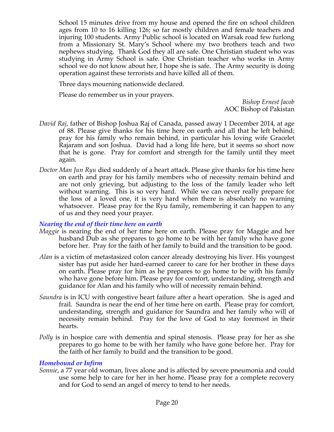School 15 minutes drive from my house and opened the fire on school children ages from 10 to 16 killing 126; so far mostly children and female teachers and injuring 100 students. Army Public school is located on Warsak road few furlong from a Missionary St. Mary's School where my two brothers teach and two nephews studying. Thank God they all are safe. One Christian student who was studying in Army School is safe. One Christian teacher who works in Army school we do not know about her, I hope she is safe. The Army security is doing operation against these terrorists and have killed all of them.

Three days mourning nationwide declared.

Please do remember us in your prayers.

*Bishop Ernest Jacob* AOC Bishop of Pakistan

- *David Raj*, father of Bishop Joshua Raj of Canada, passed away 1 December 2014, at age of 88. Please give thanks for his time here on earth and all that he left behind; pray for his family who remain behind, in particular his loving wife Gracelet Rajaram and son Joshua. David had a long life here, but it seems so short now that he is gone. Pray for comfort and strength for the family until they meet again.
- *Doctor Man Jun Ryu* died suddenly of a heart attack. Please give thanks for his time here on earth and pray for his family members who of necessity remain behind and are not only grieving, but adjusting to the loss of the family leader who left without warning. This is so very hard. While we can never really prepare for the loss of a loved one, it is very hard when there is absolutely no warning whatsoever. Please pray for the Ryu family, remembering it can happen to any of us and they need your prayer.

#### *Nearing the end of their time here on earth*

- *Maggie* is nearing the end of her time here on earth. Please pray for Maggie and her husband Dub as she prepares to go home to be with her family who have gone before her. Pray for the faith of her family to build and the transition to be good.
- *Alan* is a victim of metastasized colon cancer already destroying his liver. His youngest sister has put aside her hard-earned career to care for her brother in these days on earth. Please pray for him as he prepares to go home to be with his family who have gone before him. Please pray for comfort, understanding, strength and guidance for Alan and his family who will of necessity remain behind.
- *Saundra* is in ICU with congestive heart failure after a heart operation. She is aged and frail. Saundra is near the end of her time here on earth. Please pray for comfort, understanding, strength and guidance for Saundra and her family who will of necessity remain behind. Pray for the love of God to stay foremost in their hearts.
- *Polly* is in hospice care with dementia and spinal stenosis. Please pray for her as she prepares to go home to be with her family who have gone before her. Pray for the faith of her family to build and the transition to be good.

#### *Homebound or Infirm*

*Sonnie*, a 77 year old woman, lives alone and is affected by severe pneumonia and could use some help to care for her in her home. Please pray for a complete recovery and for God to send an angel of mercy to tend to her needs.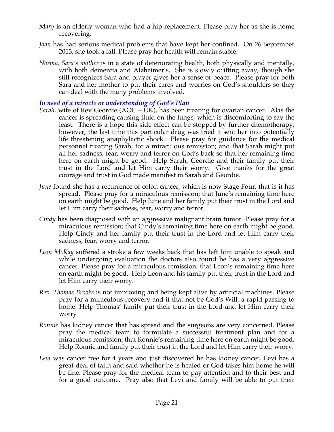- *Mary* is an elderly woman who had a hip replacement. Please pray her as she is home recovering.
- *Joan* has had serious medical problems that have kept her confined. On 26 September 2013, she took a fall. Please pray her health will remain stable.
- *Norma, Sara's mother* is in a state of deteriorating health, both physically and mentally, with both dementia and Alzheimer's. She is slowly drifting away, though she still recognizes Sara and prayer gives her a sense of peace. Please pray for both Sara and her mother to put their cares and worries on God's shoulders so they can deal with the many problems involved.

#### *In need of a miracle or understanding of God's Plan*

- *Sarah,* wife of Rev Geordie (AOC UK), has been treating for ovarian cancer. Alas the cancer is spreading causing fluid on the lungs, which is discomforting to say the least. There is a hope this side effect can be stopped by further chemotherapy; however, the last time this particular drug was tried it sent her into potentially life threatening anaphylactic shock. Please pray for guidance for the medical personnel treating Sarah, for a miraculous remission; and that Sarah might put all her sadness, fear, worry and terror on God's back so that her remaining time here on earth might be good. Help Sarah, Geordie and their family put their trust in the Lord and let Him carry their worry. Give thanks for the great courage and trust in God made manifest in Sarah and Geordie.
- *June* found she has a recurrence of colon cancer, which is now Stage Four, that is it has spread. Please pray for a miraculous remission; that June's remaining time here on earth might be good. Help June and her family put their trust in the Lord and let Him carry their sadness, fear, worry and terror.
- *Cindy* has been diagnosed with an aggressive malignant brain tumor. Please pray for a miraculous remission; that Cindy's remaining time here on earth might be good. Help Cindy and her family put their trust in the Lord and let Him carry their sadness, fear, worry and terror.
- *Leon McKay* suffered a stroke a few weeks back that has left him unable to speak and while undergoing evaluation the doctors also found he has a very aggressive cancer. Please pray for a miraculous remission; that Leon's remaining time here on earth might be good. Help Leon and his family put their trust in the Lord and let Him carry their worry.
- *Rev. Thomas Brooks* is not improving and being kept alive by artificial machines. Please pray for a miraculous recovery and if that not be God's Will, a rapid passing to home. Help Thomas' family put their trust in the Lord and let Him carry their worry
- *Ronnie* has kidney cancer that has spread and the surgeons are very concerned. Please pray the medical team to formulate a successful treatment plan and for a miraculous remission; that Ronnie's remaining time here on earth might be good. Help Ronnie and family put their trust in the Lord and let Him carry their worry.
- *Levi* was cancer free for 4 years and just discovered he has kidney cancer. Levi has a great deal of faith and said whether he is healed or God takes him home he will be fine. Please pray for the medical team to pay attention and to their best and for a good outcome. Pray also that Levi and family will be able to put their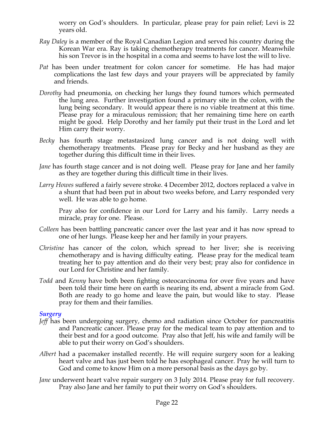worry on God's shoulders. In particular, please pray for pain relief; Levi is 22 years old.

- *Ray Daley* is a member of the Royal Canadian Legion and served his country during the Korean War era. Ray is taking chemotherapy treatments for cancer. Meanwhile his son Trevor is in the hospital in a coma and seems to have lost the will to live.
- *Pat* has been under treatment for colon cancer for sometime. He has had major complications the last few days and your prayers will be appreciated by family and friends.
- *Dorothy* had pneumonia, on checking her lungs they found tumors which permeated the lung area. Further investigation found a primary site in the colon, with the lung being secondary. It would appear there is no viable treatment at this time. Please pray for a miraculous remission; that her remaining time here on earth might be good. Help Dorothy and her family put their trust in the Lord and let Him carry their worry.
- *Becky* has fourth stage metastasized lung cancer and is not doing well with chemotherapy treatments. Please pray for Becky and her husband as they are together during this difficult time in their lives.
- *Jane* has fourth stage cancer and is not doing well. Please pray for Jane and her family as they are together during this difficult time in their lives.
- *Larry Howes* suffered a fairly severe stroke. 4 December 2012, doctors replaced a valve in a shunt that had been put in about two weeks before, and Larry responded very well. He was able to go home.

Pray also for confidence in our Lord for Larry and his family. Larry needs a miracle, pray for one. Please.

- *Colleen* has been battling pancreatic cancer over the last year and it has now spread to one of her lungs. Please keep her and her family in your prayers.
- *Christine* has cancer of the colon, which spread to her liver; she is receiving chemotherapy and is having difficulty eating. Please pray for the medical team treating her to pay attention and do their very best; pray also for confidence in our Lord for Christine and her family.
- *Todd* and *Kenny* have both been fighting osteocarcinoma for over five years and have been told their time here on earth is nearing its end, absent a miracle from God. Both are ready to go home and leave the pain, but would like to stay. Please pray for them and their families.

#### *Surgery*

- *Jeff* has been undergoing surgery, chemo and radiation since October for pancreatitis and Pancreatic cancer. Please pray for the medical team to pay attention and to their best and for a good outcome. Pray also that Jeff, his wife and family will be able to put their worry on God's shoulders.
- *Albert* had a pacemaker installed recently. He will require surgery soon for a leaking heart valve and has just been told he has esophageal cancer. Pray he will turn to God and come to know Him on a more personal basis as the days go by.
- *Jane* underwent heart valve repair surgery on 3 July 2014. Please pray for full recovery. Pray also Jane and her family to put their worry on God's shoulders.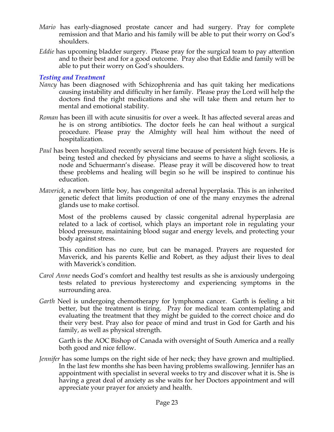- *Mario* has early-diagnosed prostate cancer and had surgery. Pray for complete remission and that Mario and his family will be able to put their worry on God's shoulders.
- *Eddie* has upcoming bladder surgery. Please pray for the surgical team to pay attention and to their best and for a good outcome. Pray also that Eddie and family will be able to put their worry on God's shoulders.

#### *Testing and Treatment*

- *Nancy* has been diagnosed with Schizophrenia and has quit taking her medications causing instability and difficulty in her family. Please pray the Lord will help the doctors find the right medications and she will take them and return her to mental and emotional stability.
- *Roman* has been ill with acute sinusitis for over a week. It has affected several areas and he is on strong antibiotics. The doctor feels he can heal without a surgical procedure. Please pray the Almighty will heal him without the need of hospitalization.
- *Paul* has been hospitalized recently several time because of persistent high fevers. He is being tested and checked by physicians and seems to have a slight scoliosis, a node and Schuermann's disease. Please pray it will be discovered how to treat these problems and healing will begin so he will be inspired to continue his education.
- *Maverick*, a newborn little boy, has congenital adrenal hyperplasia. This is an inherited genetic defect that limits production of one of the many enzymes the adrenal glands use to make cortisol.

Most of the problems caused by classic congenital adrenal hyperplasia are related to a lack of cortisol, which plays an important role in regulating your blood pressure, maintaining blood sugar and energy levels, and protecting your body against stress.

This condition has no cure, but can be managed. Prayers are requested for Maverick, and his parents Kellie and Robert, as they adjust their lives to deal with Maverick's condition.

- *Carol Anne* needs God's comfort and healthy test results as she is anxiously undergoing tests related to previous hysterectomy and experiencing symptoms in the surrounding area.
- *Garth* Neel is undergoing chemotherapy for lymphoma cancer. Garth is feeling a bit better, but the treatment is tiring. Pray for medical team contemplating and evaluating the treatment that they might be guided to the correct choice and do their very best. Pray also for peace of mind and trust in God for Garth and his family, as well as physical strength.

Garth is the AOC Bishop of Canada with oversight of South America and a really both good and nice fellow.

*Jennifer* has some lumps on the right side of her neck; they have grown and multiplied. In the last few months she has been having problems swallowing. Jennifer has an appointment with specialist in several weeks to try and discover what it is. She is having a great deal of anxiety as she waits for her Doctors appointment and will appreciate your prayer for anxiety and health.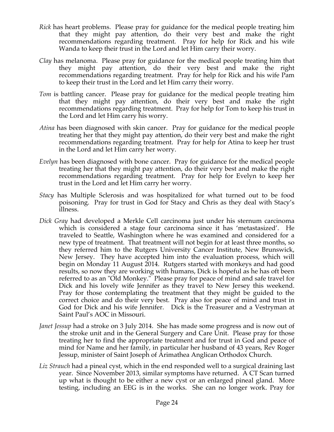- *Rick* has heart problems. Please pray for guidance for the medical people treating him that they might pay attention, do their very best and make the right recommendations regarding treatment. Pray for help for Rick and his wife Wanda to keep their trust in the Lord and let Him carry their worry.
- *Clay* has melanoma. Please pray for guidance for the medical people treating him that they might pay attention, do their very best and make the right recommendations regarding treatment. Pray for help for Rick and his wife Pam to keep their trust in the Lord and let Him carry their worry.
- *Tom* is battling cancer. Please pray for guidance for the medical people treating him that they might pay attention, do their very best and make the right recommendations regarding treatment. Pray for help for Tom to keep his trust in the Lord and let Him carry his worry.
- *Atina* has been diagnosed with skin cancer. Pray for guidance for the medical people treating her that they might pay attention, do their very best and make the right recommendations regarding treatment. Pray for help for Atina to keep her trust in the Lord and let Him carry her worry.
- *Evelyn* has been diagnosed with bone cancer. Pray for guidance for the medical people treating her that they might pay attention, do their very best and make the right recommendations regarding treatment. Pray for help for Evelyn to keep her trust in the Lord and let Him carry her worry.
- *Stacy* has Multiple Sclerosis and was hospitalized for what turned out to be food poisoning. Pray for trust in God for Stacy and Chris as they deal with Stacy's illness.
- *Dick Gray* had developed a Merkle Cell carcinoma just under his sternum carcinoma which is considered a stage four carcinoma since it has 'metastasized'. He traveled to Seattle, Washington where he was examined and considered for a new type of treatment. That treatment will not begin for at least three months, so they referred him to the Rutgers University Cancer Institute, New Brunswick, New Jersey. They have accepted him into the evaluation process, which will begin on Monday 11 August 2014. Rutgers started with monkeys and had good results, so now they are working with humans, Dick is hopeful as he has oft been referred to as an "Old Monkey." Please pray for peace of mind and safe travel for Dick and his lovely wife Jennifer as they travel to New Jersey this weekend. Pray for those contemplating the treatment that they might be guided to the correct choice and do their very best. Pray also for peace of mind and trust in God for Dick and his wife Jennifer. Dick is the Treasurer and a Vestryman at Saint Paul's AOC in Missouri.
- *Janet Jessup* had a stroke on 3 July 2014. She has made some progress and is now out of the stroke unit and in the General Surgery and Care Unit. Please pray for those treating her to find the appropriate treatment and for trust in God and peace of mind for Name and her family, in particular her husband of 43 years, Rev Roger Jessup, minister of Saint Joseph of Arimathea Anglican Orthodox Church.
- *Liz Strauch* had a pineal cyst, which in the end responded well to a surgical draining last year. Since November 2013, similar symptoms have returned. A CT Scan turned up what is thought to be either a new cyst or an enlarged pineal gland. More testing, including an EEG is in the works. She can no longer work. Pray for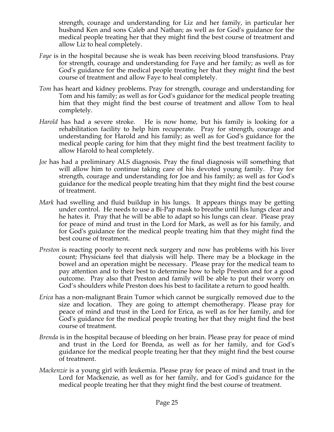strength, courage and understanding for Liz and her family, in particular her husband Ken and sons Caleb and Nathan; as well as for God's guidance for the medical people treating her that they might find the best course of treatment and allow Liz to heal completely.

- *Faye* is in the hospital because she is weak has been receiving blood transfusions. Pray for strength, courage and understanding for Faye and her family; as well as for God's guidance for the medical people treating her that they might find the best course of treatment and allow Faye to heal completely.
- *Tom* has heart and kidney problems. Pray for strength, courage and understanding for Tom and his family; as well as for God's guidance for the medical people treating him that they might find the best course of treatment and allow Tom to heal completely.
- *Harold* has had a severe stroke. He is now home, but his family is looking for a rehabilitation facility to help him recuperate. Pray for strength, courage and understanding for Harold and his family; as well as for God's guidance for the medical people caring for him that they might find the best treatment facility to allow Harold to heal completely.
- *Joe* has had a preliminary ALS diagnosis. Pray the final diagnosis will something that will allow him to continue taking care of his devoted young family. Pray for strength, courage and understanding for Joe and his family; as well as for God's guidance for the medical people treating him that they might find the best course of treatment.
- *Mark* had swelling and fluid buildup in his lungs. It appears things may be getting under control. He needs to use a Bi-Pap mask to breathe until his lungs clear and he hates it. Pray that he will be able to adapt so his lungs can clear. Please pray for peace of mind and trust in the Lord for Mark, as well as for his family, and for God's guidance for the medical people treating him that they might find the best course of treatment.
- *Preston* is reacting poorly to recent neck surgery and now has problems with his liver count; Physicians feel that dialysis will help. There may be a blockage in the bowel and an operation might be necessary. Please pray for the medical team to pay attention and to their best to determine how to help Preston and for a good outcome. Pray also that Preston and family will be able to put their worry on God's shoulders while Preston does his best to facilitate a return to good health.
- *Erica* has a non-malignant Brain Tumor which cannot be surgically removed due to the size and location. They are going to attempt chemotherapy. Please pray for peace of mind and trust in the Lord for Erica, as well as for her family, and for God's guidance for the medical people treating her that they might find the best course of treatment.
- *Brenda* is in the hospital because of bleeding on her brain. Please pray for peace of mind and trust in the Lord for Brenda, as well as for her family, and for God's guidance for the medical people treating her that they might find the best course of treatment.
- *Mackenzie* is a young girl with leukemia. Please pray for peace of mind and trust in the Lord for Mackenzie, as well as for her family, and for God's guidance for the medical people treating her that they might find the best course of treatment.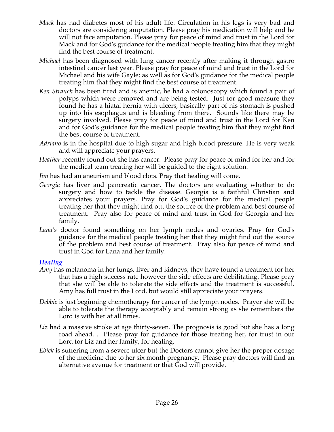- *Mack* has had diabetes most of his adult life. Circulation in his legs is very bad and doctors are considering amputation. Please pray his medication will help and he will not face amputation. Please pray for peace of mind and trust in the Lord for Mack and for God's guidance for the medical people treating him that they might find the best course of treatment.
- *Michael* has been diagnosed with lung cancer recently after making it through gastro intestinal cancer last year. Please pray for peace of mind and trust in the Lord for Michael and his wife Gayle; as well as for God's guidance for the medical people treating him that they might find the best course of treatment.
- *Ken Strauch* has been tired and is anemic, he had a colonoscopy which found a pair of polyps which were removed and are being tested. Just for good measure they found he has a hiatal hernia with ulcers, basically part of his stomach is pushed up into his esophagus and is bleeding from there. Sounds like there may be surgery involved. Please pray for peace of mind and trust in the Lord for Ken and for God's guidance for the medical people treating him that they might find the best course of treatment.
- *Adriano* is in the hospital due to high sugar and high blood pressure. He is very weak and will appreciate your prayers.
- *Heather* recently found out she has cancer. Please pray for peace of mind for her and for the medical team treating her will be guided to the right solution.
- *Jim* has had an aneurism and blood clots. Pray that healing will come.
- *Georgia* has liver and pancreatic cancer. The doctors are evaluating whether to do surgery and how to tackle the disease. Georgia is a faithful Christian and appreciates your prayers. Pray for God's guidance for the medical people treating her that they might find out the source of the problem and best course of treatment. Pray also for peace of mind and trust in God for Georgia and her family.
- *Lana's* doctor found something on her lymph nodes and ovaries. Pray for God's guidance for the medical people treating her that they might find out the source of the problem and best course of treatment. Pray also for peace of mind and trust in God for Lana and her family.

#### *Healing*

- *Amy* has melanoma in her lungs, liver and kidneys; they have found a treatment for her that has a high success rate however the side effects are debilitating. Please pray that she will be able to tolerate the side effects and the treatment is successful. Amy has full trust in the Lord, but would still appreciate your prayers.
- *Debbie* is just beginning chemotherapy for cancer of the lymph nodes. Prayer she will be able to tolerate the therapy acceptably and remain strong as she remembers the Lord is with her at all times.
- Liz had a massive stroke at age thirty-seven. The prognosis is good but she has a long road ahead. . Please pray for guidance for those treating her, for trust in our Lord for Liz and her family, for healing.
- *Ebick* is suffering from a severe ulcer but the Doctors cannot give her the proper dosage of the medicine due to her six month pregnancy. Please pray doctors will find an alternative avenue for treatment or that God will provide.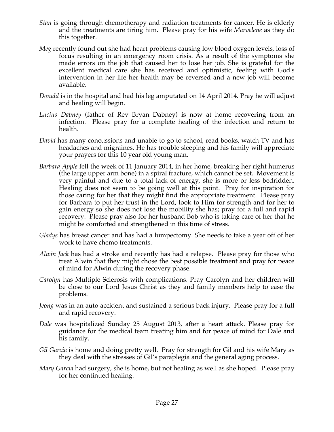- *Stan* is going through chemotherapy and radiation treatments for cancer. He is elderly and the treatments are tiring him. Please pray for his wife *Marvelene* as they do this together.
- *Meg* recently found out she had heart problems causing low blood oxygen levels, loss of focus resulting in an emergency room crisis. As a result of the symptoms she made errors on the job that caused her to lose her job. She is grateful for the excellent medical care she has received and optimistic, feeling with God's intervention in her life her health may be reversed and a new job will become available.
- *Donald* is in the hospital and had his leg amputated on 14 April 2014. Pray he will adjust and healing will begin.
- *Lucius Dabney* (father of Rev Bryan Dabney) is now at home recovering from an infection. Please pray for a complete healing of the infection and return to health.
- *David* has many concussions and unable to go to school, read books, watch TV and has headaches and migraines. He has trouble sleeping and his family will appreciate your prayers for this 10 year old young man.
- *Barbara Apple* fell the week of 11 January 2014, in her home, breaking her right humerus (the large upper arm bone) in a spiral fracture, which cannot be set. Movement is very painful and due to a total lack of energy, she is more or less bedridden. Healing does not seem to be going well at this point. Pray for inspiration for those caring for her that they might find the appropriate treatment. Please pray for Barbara to put her trust in the Lord, look to Him for strength and for her to gain energy so she does not lose the mobility she has; pray for a full and rapid recovery. Please pray also for her husband Bob who is taking care of her that he might be comforted and strengthened in this time of stress.
- *Gladys* has breast cancer and has had a lumpectomy. She needs to take a year off of her work to have chemo treatments.
- *Alwin Jack* has had a stroke and recently has had a relapse. Please pray for those who treat Alwin that they might chose the best possible treatment and pray for peace of mind for Alwin during the recovery phase.
- *Carolyn* has Multiple Sclerosis with complications. Pray Carolyn and her children will be close to our Lord Jesus Christ as they and family members help to ease the problems.
- *Jeong* was in an auto accident and sustained a serious back injury. Please pray for a full and rapid recovery.
- *Dale* was hospitalized Sunday 25 August 2013, after a heart attack. Please pray for guidance for the medical team treating him and for peace of mind for Dale and his family.
- *Gil Garcia* is home and doing pretty well. Pray for strength for Gil and his wife Mary as they deal with the stresses of Gil's paraplegia and the general aging process.
- *Mary Garcia* had surgery, she is home, but not healing as well as she hoped. Please pray for her continued healing.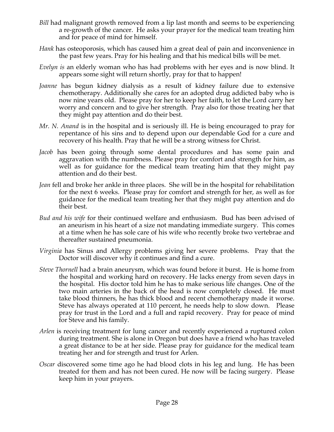- *Bill* had malignant growth removed from a lip last month and seems to be experiencing a re-growth of the cancer. He asks your prayer for the medical team treating him and for peace of mind for himself.
- *Hank* has osteoporosis, which has caused him a great deal of pain and inconvenience in the past few years. Pray for his healing and that his medical bills will be met.
- *Evelyn is* an elderly woman who has had problems with her eyes and is now blind. It appears some sight will return shortly, pray for that to happen!
- *Joanne* has begun kidney dialysis as a result of kidney failure due to extensive chemotherapy. Additionally she cares for an adopted drug addicted baby who is now nine years old. Please pray for her to keep her faith, to let the Lord carry her worry and concern and to give her strength. Pray also for those treating her that they might pay attention and do their best.
- *Mr. N. Anand* is in the hospital and is seriously ill. He is being encouraged to pray for repentance of his sins and to depend upon our dependable God for a cure and recovery of his health. Pray that he will be a strong witness for Christ.
- *Jacob* has been going through some dental procedures and has some pain and aggravation with the numbness. Please pray for comfort and strength for him, as well as for guidance for the medical team treating him that they might pay attention and do their best.
- *Jean* fell and broke her ankle in three places. She will be in the hospital for rehabilitation for the next 6 weeks. Please pray for comfort and strength for her, as well as for guidance for the medical team treating her that they might pay attention and do their best.
- *Bud and his wife* for their continued welfare and enthusiasm. Bud has been advised of an aneurism in his heart of a size not mandating immediate surgery. This comes at a time when he has sole care of his wife who recently broke two vertebrae and thereafter sustained pneumonia.
- *Virginia* has Sinus and Allergy problems giving her severe problems. Pray that the Doctor will discover why it continues and find a cure.
- *Steve Thornell* had a brain aneurysm, which was found before it burst. He is home from the hospital and working hard on recovery. He lacks energy from seven days in the hospital. His doctor told him he has to make serious life changes. One of the two main arteries in the back of the head is now completely closed. He must take blood thinners, he has thick blood and recent chemotherapy made it worse. Steve has always operated at 110 percent, he needs help to slow down. Please pray for trust in the Lord and a full and rapid recovery. Pray for peace of mind for Steve and his family.
- *Arlen* is receiving treatment for lung cancer and recently experienced a ruptured colon during treatment. She is alone in Oregon but does have a friend who has traveled a great distance to be at her side. Please pray for guidance for the medical team treating her and for strength and trust for Arlen.
- *Oscar* discovered some time ago he had blood clots in his leg and lung. He has been treated for them and has not been cured. He now will be facing surgery. Please keep him in your prayers.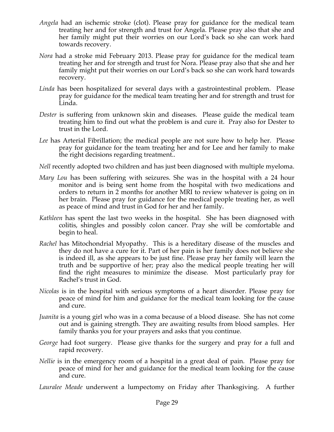- *Angela* had an ischemic stroke (clot). Please pray for guidance for the medical team treating her and for strength and trust for Angela. Please pray also that she and her family might put their worries on our Lord's back so she can work hard towards recovery.
- *Nora* had a stroke mid February 2013. Please pray for guidance for the medical team treating her and for strength and trust for Nora. Please pray also that she and her family might put their worries on our Lord's back so she can work hard towards recovery.
- *Linda* has been hospitalized for several days with a gastrointestinal problem. Please pray for guidance for the medical team treating her and for strength and trust for Linda.
- *Dester* is suffering from unknown skin and diseases. Please guide the medical team treating him to find out what the problem is and cure it. Pray also for Dester to trust in the Lord.
- *Lee* has Arterial Fibrillation; the medical people are not sure how to help her. Please pray for guidance for the team treating her and for Lee and her family to make the right decisions regarding treatment..
- *Nell* recently adopted two children and has just been diagnosed with multiple myeloma.
- *Mary Lou* has been suffering with seizures. She was in the hospital with a 24 hour monitor and is being sent home from the hospital with two medications and orders to return in 2 months for another MRI to review whatever is going on in her brain. Please pray for guidance for the medical people treating her, as well as peace of mind and trust in God for her and her family.
- *Kathleen* has spent the last two weeks in the hospital. She has been diagnosed with colitis, shingles and possibly colon cancer. Pray she will be comfortable and begin to heal.
- *Rachel* has Mitochondrial Myopathy. This is a hereditary disease of the muscles and they do not have a cure for it. Part of her pain is her family does not believe she is indeed ill, as she appears to be just fine. Please pray her family will learn the truth and be supportive of her; pray also the medical people treating her will find the right measures to minimize the disease. Most particularly pray for Rachel's trust in God.
- *Nicolas* is in the hospital with serious symptoms of a heart disorder. Please pray for peace of mind for him and guidance for the medical team looking for the cause and cure.
- *Juanita* is a young girl who was in a coma because of a blood disease. She has not come out and is gaining strength. They are awaiting results from blood samples. Her family thanks you for your prayers and asks that you continue.
- *George* had foot surgery. Please give thanks for the surgery and pray for a full and rapid recovery.
- *Nellie* is in the emergency room of a hospital in a great deal of pain. Please pray for peace of mind for her and guidance for the medical team looking for the cause and cure.
- *Lauralee Meade* underwent a lumpectomy on Friday after Thanksgiving. A further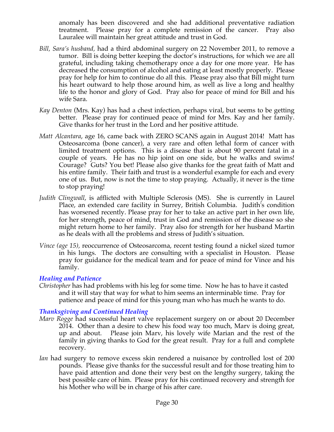anomaly has been discovered and she had additional preventative radiation treatment. Please pray for a complete remission of the cancer. Pray also Lauralee will maintain her great attitude and trust in God.

- *Bill, Sara's husband,* had a third abdominal surgery on 22 November 2011, to remove a tumor. Bill is doing better keeping the doctor's instructions, for which we are all grateful, including taking chemotherapy once a day for one more year. He has decreased the consumption of alcohol and eating at least mostly properly. Please pray for help for him to continue do all this. Please pray also that Bill might turn his heart outward to help those around him, as well as live a long and healthy life to the honor and glory of God. Pray also for peace of mind for Bill and his wife Sara.
- *Kay Denton* (Mrs. Kay) has had a chest infection, perhaps viral, but seems to be getting better. Please pray for continued peace of mind for Mrs. Kay and her family. Give thanks for her trust in the Lord and her positive attitude.
- *Matt Alcantara*, age 16, came back with ZERO SCANS again in August 2014! Matt has Osteosarcoma (bone cancer), a very rare and often lethal form of cancer with limited treatment options. This is a disease that is about 90 percent fatal in a couple of years. He has no hip joint on one side, but he walks and swims! Courage? Guts? You bet! Please also give thanks for the great faith of Matt and his entire family. Their faith and trust is a wonderful example for each and every one of us. But, now is not the time to stop praying. Actually, it never is the time to stop praying!
- *Judith Clingwall*, is afflicted with Multiple Sclerosis (MS). She is currently in Laurel Place, an extended care facility in Surrey, British Columbia. Judith's condition has worsened recently. Please pray for her to take an active part in her own life, for her strength, peace of mind, trust in God and remission of the disease so she might return home to her family. Pray also for strength for her husband Martin as he deals with all the problems and stress of Judith's situation.
- *Vince (age 15),* reoccurrence of Osteosarcoma, recent testing found a nickel sized tumor in his lungs. The doctors are consulting with a specialist in Houston. Please pray for guidance for the medical team and for peace of mind for Vince and his family.

#### *Healing and Patience*

*Christopher* has had problems with his leg for some time. Now he has to have it casted and it will stay that way for what to him seems an interminable time. Pray for patience and peace of mind for this young man who has much he wants to do.

## *Thanksgiving and Continued Healing*

- *Marv Rogge* had successful heart valve replacement surgery on or about 20 December 2014. Other than a desire to chew his food way too much, Marv is doing great, up and about. Please join Marv, his lovely wife Marian and the rest of the family in giving thanks to God for the great result. Pray for a full and complete recovery.
- *Ian* had surgery to remove excess skin rendered a nuisance by controlled lost of 200 pounds. Please give thanks for the successful result and for those treating him to have paid attention and done their very best on the lengthy surgery, taking the best possible care of him. Please pray for his continued recovery and strength for his Mother who will be in charge of his after care.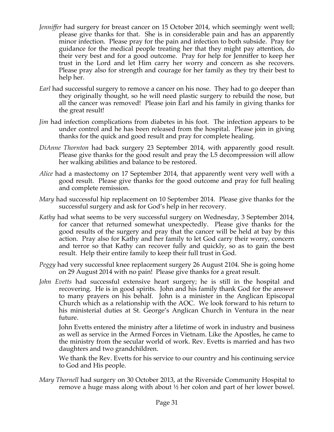- *Jenniffer* had surgery for breast cancer on 15 October 2014, which seemingly went well; please give thanks for that. She is in considerable pain and has an apparently minor infection. Please pray for the pain and infection to both subside. Pray for guidance for the medical people treating her that they might pay attention, do their very best and for a good outcome. Pray for help for Jenniffer to keep her trust in the Lord and let Him carry her worry and concern as she recovers. Please pray also for strength and courage for her family as they try their best to help her.
- *Earl* had successful surgery to remove a cancer on his nose. They had to go deeper than they originally thought, so he will need plastic surgery to rebuild the nose, but all the cancer was removed! Please join Earl and his family in giving thanks for the great result!
- *Jim* had infection complications from diabetes in his foot. The infection appears to be under control and he has been released from the hospital. Please join in giving thanks for the quick and good result and pray for complete healing.
- *DiAnne Thornton* had back surgery 23 September 2014, with apparently good result. Please give thanks for the good result and pray the L5 decompression will allow her walking abilities and balance to be restored.
- *Alice* had a mastectomy on 17 September 2014, that apparently went very well with a good result. Please give thanks for the good outcome and pray for full healing and complete remission.
- *Mary* had successful hip replacement on 10 September 2014. Please give thanks for the successful surgery and ask for God's help in her recovery.
- *Kathy* had what seems to be very successful surgery on Wednesday, 3 September 2014, for cancer that returned somewhat unexpectedly. Please give thanks for the good results of the surgery and pray that the cancer will be held at bay by this action. Pray also for Kathy and her family to let God carry their worry, concern and terror so that Kathy can recover fully and quickly, so as to gain the best result. Help their entire family to keep their full trust in God.
- *Peggy* had very successful knee replacement surgery 26 August 2104. She is going home on 29 August 2014 with no pain! Please give thanks for a great result.
- *John Evetts* had successful extensive heart surgery; he is still in the hospital and recovering. He is in good spirits. John and his family thank God for the answer to many prayers on his behalf. John is a minister in the Anglican Episcopal Church which as a relationship with the AOC. We look forward to his return to his ministerial duties at St. George's Anglican Church in Ventura in the near future.

John Evetts entered the ministry after a lifetime of work in industry and business as well as service in the Armed Forces in Vietnam. Like the Apostles, he came to the ministry from the secular world of work. Rev. Evetts is married and has two daughters and two grandchildren.

We thank the Rev. Evetts for his service to our country and his continuing service to God and His people.

*Mary Thornell* had surgery on 30 October 2013, at the Riverside Community Hospital to remove a huge mass along with about ½ her colon and part of her lower bowel.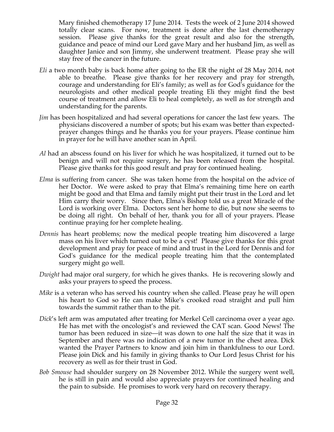Mary finished chemotherapy 17 June 2014. Tests the week of 2 June 2014 showed totally clear scans. For now, treatment is done after the last chemotherapy session. Please give thanks for the great result and also for the strength, guidance and peace of mind our Lord gave Mary and her husband Jim, as well as daughter Janice and son Jimmy, she underwent treatment. Please pray she will stay free of the cancer in the future.

- *Eli* a two month baby is back home after going to the ER the night of 28 May 2014, not able to breathe. Please give thanks for her recovery and pray for strength, courage and understanding for Eli's family; as well as for God's guidance for the neurologists and other medical people treating Eli they might find the best course of treatment and allow Eli to heal completely, as well as for strength and understanding for the parents.
- *Jim* has been hospitalized and had several operations for cancer the last few years. The physicians discovered a number of spots; but his exam was better than expectedprayer changes things and he thanks you for your prayers. Please continue him in prayer for he will have another scan in April.
- *Al* had an abscess found on his liver for which he was hospitalized, it turned out to be benign and will not require surgery, he has been released from the hospital. Please give thanks for this good result and pray for continued healing.
- *Elma* is suffering from cancer. She was taken home from the hospital on the advice of her Doctor. We were asked to pray that Elma's remaining time here on earth might be good and that Elma and family might put their trust in the Lord and let Him carry their worry. Since then, Elma's Bishop told us a great Miracle of the Lord is working over Elma. Doctors sent her home to die, but now she seems to be doing all right. On behalf of her, thank you for all of your prayers. Please continue praying for her complete healing.
- *Dennis* has heart problems; now the medical people treating him discovered a large mass on his liver which turned out to be a cyst! Please give thanks for this great development and pray for peace of mind and trust in the Lord for Dennis and for God's guidance for the medical people treating him that the contemplated surgery might go well.
- *Dwight* had major oral surgery, for which he gives thanks. He is recovering slowly and asks your prayers to speed the process.
- *Mike* is a veteran who has served his country when she called. Please pray he will open his heart to God so He can make Mike's crooked road straight and pull him towards the summit rather than to the pit.
- *Dick*'s left arm was amputated after treating for Merkel Cell carcinoma over a year ago. He has met with the oncologist's and reviewed the CAT scan. Good News! The tumor has been reduced in size—it was down to one half the size that it was in September and there was no indication of a new tumor in the chest area. Dick wanted the Prayer Partners to know and join him in thankfulness to our Lord. Please join Dick and his family in giving thanks to Our Lord Jesus Christ for his recovery as well as for their trust in God.
- *Bob Smouse* had shoulder surgery on 28 November 2012. While the surgery went well, he is still in pain and would also appreciate prayers for continued healing and the pain to subside. He promises to work very hard on recovery therapy.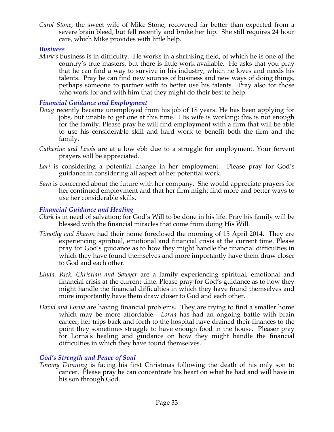*Carol Stone*, the sweet wife of Mike Stone, recovered far better than expected from a severe brain bleed, but fell recently and broke her hip. She still requires 24 hour care, which Mike provides with little help.

#### *Business*

*Mark's* business is in difficulty. He works in a shrinking field, of which he is one of the country's true masters, but there is little work available. He asks that you pray that he can find a way to survive in his industry, which he loves and needs his talents. Pray he can find new sources of business and new ways of doing things, perhaps someone to partner with to better use his talents. Pray also for those who work for and with him that they might do their best to help.

## *Financial Guidance and Employment*

- *Doug* recently became unemployed from his job of 18 years. He has been applying for jobs, but unable to get one at this time. His wife is working; this is not enough for the family. Please pray he will find employment with a firm that will be able to use his considerable skill and hard work to benefit both the firm and the family.
- *Catherine and Lewis* are at a low ebb due to a struggle for employment. Your fervent prayers will be appreciated.
- Lori is considering a potential change in her employment. Please pray for God's guidance in considering all aspect of her potential work.
- *Sara* is concerned about the future with her company. She would appreciate prayers for her continued employment and that her firm might find more and better ways to use her considerable skills.

## *Financial Guidance and Healing*

- *Clark* is in need of salvation; for God's Will to be done in his life. Pray his family will be blessed with the financial miracles that come from doing His Will.
- *Timothy and Sharon* had their home foreclosed the morning of 15 April 2014. They are experiencing spiritual, emotional and financial crisis at the current time. Please pray for God's guidance as to how they might handle the financial difficulties in which they have found themselves and more importantly have them draw closer to God and each other.
- *Linda, Rick, Christian and Sawyer* are a family experiencing spiritual, emotional and financial crisis at the current time. Please pray for God's guidance as to how they might handle the financial difficulties in which they have found themselves and more importantly have them draw closer to God and each other.
- *David and Lorna* are having financial problems. They are trying to find a smaller home which may be more affordable. *Lorna* has had an ongoing battle with brain cancer, her trips back and forth to the hospital have drained their finances to the point they sometimes struggle to have enough food in the house. Pleaser pray for Lorna's healing and guidance on how they might handle the financial difficulties in which they have found themselves.

## *God's Strength and Peace of Soul*

*Tommy Dunning* is facing his first Christmas following the death of his only son to cancer. Please pray he can concentrate his heart on what he had and will have in his son through God.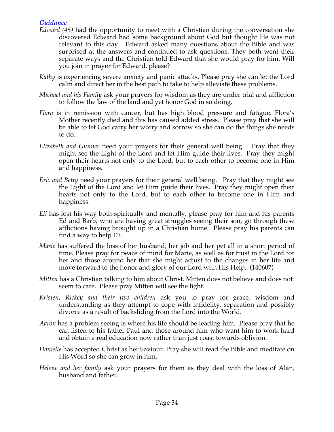## *Guidance*

- *Edward (45)* had the opportunity to meet with a Christian during the conversation she discovered Edward had some background about God but thought He was not relevant to this day. Edward asked many questions about the Bible and was surprised at the answers and continued to ask questions. They both went their separate ways and the Christian told Edward that she would pray for him. Will you join in prayer for Edward, please?
- *Kathy* is experiencing severe anxiety and panic attacks. Please pray she can let the Lord calm and direct her in the best path to take to help alleviate these problems.
- *Michael and his Family* ask your prayers for wisdom as they are under trial and affliction to follow the law of the land and yet honor God in so doing.
- *Flora* is in remission with cancer, but has high blood pressure and fatigue. Flora's Mother recently died and this has caused added stress. Please pray that she will be able to let God carry her worry and sorrow so she can do the things she needs to do.
- *Elizabeth and Gunner* need your prayers for their general well being. Pray that they might see the Light of the Lord and let Him guide their lives. Pray they might open their hearts not only to the Lord, but to each other to become one in Him and happiness.
- *Eric and Betty* need your prayers for their general well being. Pray that they might see the Light of the Lord and let Him guide their lives. Pray they might open their hearts not only to the Lord, but to each other to become one in Him and happiness.
- *Eli* has lost his way both spiritually and mentally, please pray for him and his parents Ed and Barb, who are having great struggles seeing their son, go through these afflictions having brought up in a Christian home. Please pray his parents can find a way to help Eli.
- *Marie* has suffered the loss of her husband, her job and her pet all in a short period of time. Please pray for peace of mind for Marie, as well as for trust in the Lord for her and those around her that she might adjust to the changes in her life and move forward to the honor and glory of our Lord with His Help. (140607)
- *Mitten* has a Christian talking to him about Christ. Mitten does not believe and does not seem to care. Please pray Mitten will see the light.
- *Kristen, Rickey and their two children* ask you to pray for grace, wisdom and understanding as they attempt to cope with infidelity, separation and possibly divorce as a result of backsliding from the Lord into the World.
- *Aaron* has a problem seeing is where his life should be leading him. Please pray that he can listen to his father Paul and those around him who want him to work hard and obtain a real education now rather than just coast towards oblivion.
- *Danielle* has accepted Christ as her Saviour. Pray she will read the Bible and meditate on His Word so she can grow in him.
- *Helene and her family* ask your prayers for them as they deal with the loss of Alan, husband and father.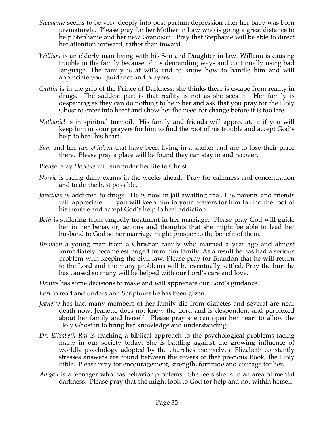- *Stephanie* seems to be very deeply into post partum depression after her baby was born prematurely. Please pray for her Mother in Law who is going a great distance to help Stephanie and her new Grandson. Pray that Stephanie will be able to direct her attention outward, rather than inward.
- *William* is an elderly man living with his Son and Daughter in-law. William is causing trouble in the family because of his demanding ways and continually using bad language. The family is at wit's end to know how to handle him and will appreciate your guidance and prayers.
- *Caitlin* is in the grip of the Prince of Darkness; she thinks there is escape from reality in drugs. The saddest part is that reality is not as she sees it. Her family is despairing as they can do nothing to help her and ask that you pray for the Holy Ghost to enter into heart and show her the need for change before it is too late.
- *Nathaniel* is in spiritual turmoil. His family and friends will appreciate it if you will keep him in your prayers for him to find the root of his trouble and accept God's help to heal his heart.
- *Sam* and her *two children* that have been living in a shelter and are to lose their place there. Please pray a place will be found they can stay in and recover.
- Please pray *Darlene* will surrender her life to Christ.
- *Norrie* is facing daily exams in the weeks ahead. Pray for calmness and concentration and to do the best possible.
- *Jonathan* is addicted to drugs. He is now in jail awaiting trial. His parents and friends will appreciate it if you will keep him in your prayers for him to find the root of his trouble and accept God's help to heal addiction.
- *Beth* is suffering from ungodly treatment in her marriage. Please pray God will guide her in her behavior, actions and thoughts that she might be able to lead her husband to God so her marriage might prosper to the benefit of them.
- *Brandon* a young man from a Christian family who married a year ago and almost immediately became estranged from him family. As a result he has had a serious problem with keeping the civil law. Please pray for Brandon that he will return to the Lord and the many problems will be eventually settled. Pray the hurt he has caused so many will be helped with our Lord's care and love.

*Dennis* has some decisions to make and will appreciate our Lord's guidance.

- *Earl* to read and understand Scriptures he has been given.
- *Jeanette* has had many members of her family die from diabetes and several are near death now. Jeanette does not know the Lord and is despondent and perplexed about her family and herself. Please pray she can open her heart to allow the Holy Ghost in to bring her knowledge and understanding.
- *Dr. Elizabeth Raj* is teaching a biblical approach to the psychological problems facing many in our society today. She is battling against the growing influence of worldly psychology adopted by the churches themselves. Elizabeth constantly stresses answers are found between the covers of that precious Book, the Holy Bible. Please pray for encouragement, strength, fortitude and courage for her.
- *Abigail* is a teenager who has behavior problems. She feels she is in an area of mental darkness. Please pray that she might look to God for help and not within herself.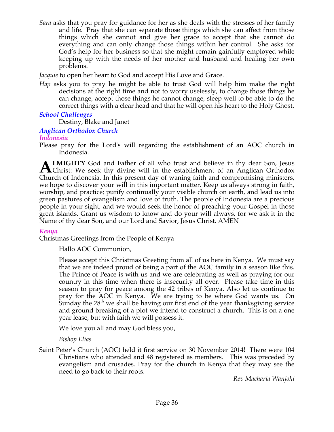*Sara* asks that you pray for guidance for her as she deals with the stresses of her family and life. Pray that she can separate those things which she can affect from those things which she cannot and give her grace to accept that she cannot do everything and can only change those things within her control. She asks for God's help for her business so that she might remain gainfully employed while keeping up with the needs of her mother and husband and healing her own problems.

*Jacquie* to open her heart to God and accept His Love and Grace.

*Hap* asks you to pray he might be able to trust God will help him make the right decisions at the right time and not to worry uselessly, to change those things he can change, accept those things he cannot change, sleep well to be able to do the correct things with a clear head and that he will open his heart to the Holy Ghost.

## *School Challenges*

Destiny, Blake and Janet

#### *Anglican Orthodox Church*

#### *Indonesia*

Please pray for the Lord's will regarding the establishment of an AOC church in Indonesia.

**LMIGHTY** God and Father of all who trust and believe in thy dear Son, Jesus **ALMIGHTY** God and Father of all who trust and believe in thy dear Son, Jesus Christ: We seek thy divine will in the establishment of an Anglican Orthodox Church of Indonesia. In this present day of waning faith and compromising ministers, we hope to discover your will in this important matter. Keep us always strong in faith, worship, and practice; purify continually your visible church on earth, and lead us into green pastures of evangelism and love of truth. The people of Indonesia are a precious people in your sight, and we would seek the honor of preaching your Gospel in those great islands. Grant us wisdom to know and do your will always, for we ask it in the Name of thy dear Son, and our Lord and Savior, Jesus Christ. AMEN

#### *Kenya*

Christmas Greetings from the People of Kenya

Hallo AOC Communion,

Please accept this Christmas Greeting from all of us here in Kenya. We must say that we are indeed proud of being a part of the AOC family in a season like this. The Prince of Peace is with us and we are celebrating as well as praying for our country in this time when there is insecurity all over. Please take time in this season to pray for peace among the 42 tribes of Kenya. Also let us continue to pray for the AOC in Kenya. We are trying to be where God wants us. On Sunday the  $28<sup>th</sup>$  we shall be having our first end of the year thanksgiving service and ground breaking of a plot we intend to construct a church. This is on a one year lease, but with faith we will possess it.

We love you all and may God bless you,

#### *Bishop Elias*

Saint Peter's Church (AOC) held it first service on 30 November 2014! There were 104 Christians who attended and 48 registered as members. This was preceded by evangelism and crusades. Pray for the church in Kenya that they may see the need to go back to their roots.

*Rev Macharia Wanjohi*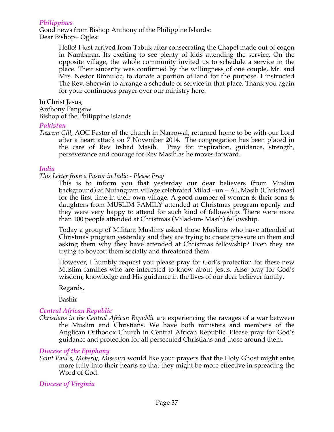#### *Philippines*

Good news from Bishop Anthony of the Philippine Islands: Dear Bishop+ Ogles:

> Hello! I just arrived from Tabuk after consecrating the Chapel made out of cogon in Nambaran. Its exciting to see plenty of kids attending the service. On the opposite village, the whole community invited us to schedule a service in the place. Their sincerity was confirmed by the willingness of one couple, Mr. and Mrs. Nestor Binnuloc, to donate a portion of land for the purpose. I instructed The Rev. Sherwin to arrange a schedule of service in that place. Thank you again for your continuous prayer over our ministry here.

In Christ Jesus,

Anthony Pangsiw

Bishop of the Philippine Islands

#### *Pakistan*

*Tazeem Gill*, AOC Pastor of the church in Narrowal, returned home to be with our Lord after a heart attack on 7 November 2014. The congregation has been placed in the care of Rev Irshad Masih. Pray for inspiration, guidance, strength, perseverance and courage for Rev Masih as he moves forward.

#### *India*

*This Letter from a Pastor in India - Please Pray*

This is to inform you that yesterday our dear believers (from Muslim background) at Nutangram village celebrated Milad –un – AL Masih (Christmas) for the first time in their own village. A good number of women & their sons & daughters from MUSLIM FAMILY attended at Christmas program openly and they were very happy to attend for such kind of fellowship. There were more than 100 people attended at Christmas (Milad-un- Masih) fellowship.

Today a group of Militant Muslims asked those Muslims who have attended at Christmas program yesterday and they are trying to create pressure on them and asking them why they have attended at Christmas fellowship? Even they are trying to boycott them socially and threatened them.

However, I humbly request you please pray for God's protection for these new Muslim families who are interested to know about Jesus. Also pray for God's wisdom, knowledge and His guidance in the lives of our dear believer family.

Regards,

Bashir

#### *Central African Republic*

*Christians in the Central African Republic* are experiencing the ravages of a war between the Muslim and Christians. We have both ministers and members of the Anglican Orthodox Church in Central African Republic. Please pray for God's guidance and protection for all persecuted Christians and those around them.

#### *Diocese of the Epiphany*

*Saint Paul's, Moberly, Missouri* would like your prayers that the Holy Ghost might enter more fully into their hearts so that they might be more effective in spreading the Word of God.

*Diocese of Virginia*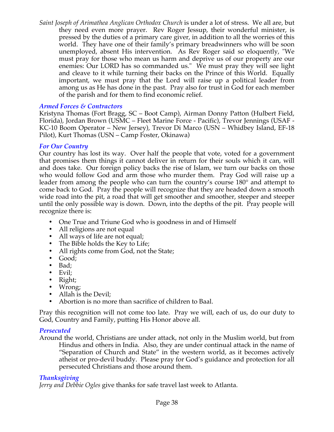*Saint Joseph of Arimathea Anglican Orthodox Church* is under a lot of stress. We all are, but they need even more prayer. Rev Roger Jessup, their wonderful minister, is pressed by the duties of a primary care giver, in addition to all the worries of this world. They have one of their family's primary breadwinners who will be soon unemployed, absent His intervention. As Rev Roger said so eloquently, "We must pray for those who mean us harm and deprive us of our property are our enemies: Our LORD has so commanded us." We must pray they will see light and cleave to it while turning their backs on the Prince of this World. Equally important, we must pray that the Lord will raise up a political leader from among us as He has done in the past. Pray also for trust in God for each member of the parish and for them to find economic relief.

#### *Armed Forces & Contractors*

Kristyna Thomas (Fort Bragg, SC – Boot Camp), Airman Donny Patton (Hulbert Field, Florida), Jordan Brown (USMC – Fleet Marine Force - Pacific), Trevor Jennings (USAF - KC-10 Boom Operator – New Jersey), Trevor Di Marco (USN – Whidbey Island, EF-18 Pilot), Kurt Thomas (USN – Camp Foster, Okinawa)

#### *For Our Country*

Our country has lost its way. Over half the people that vote, voted for a government that promises them things it cannot deliver in return for their souls which it can, will and does take. Our foreign policy backs the rise of Islam, we turn our backs on those who would follow God and arm those who murder them. Pray God will raise up a leader from among the people who can turn the country's course 180° and attempt to come back to God. Pray the people will recognize that they are headed down a smooth wide road into the pit, a road that will get smoother and smoother, steeper and steeper until the only possible way is down. Down, into the depths of the pit. Pray people will recognize there is:

- One True and Triune God who is goodness in and of Himself
- All religions are not equal
- All ways of life are not equal;
- The Bible holds the Key to Life;
- All rights come from God, not the State;
- Good;
- Bad;
- Evil;
- Right;
- Wrong;
- Allah is the Devil;
- Abortion is no more than sacrifice of children to Baal.

Pray this recognition will not come too late. Pray we will, each of us, do our duty to God, Country and Family, putting His Honor above all.

## *Persecuted*

Around the world, Christians are under attack, not only in the Muslim world, but from Hindus and others in India. Also, they are under continual attack in the name of "Separation of Church and State" in the western world, as it becomes actively atheist or pro-devil buddy. Please pray for God's guidance and protection for all persecuted Christians and those around them.

## *Thanksgiving*

*Jerry and Debbie Ogles* give thanks for safe travel last week to Atlanta.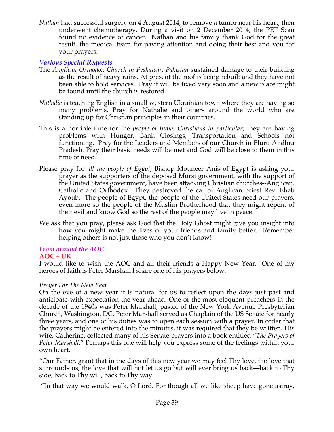*Nathan* had successful surgery on 4 August 2014, to remove a tumor near his heart; then underwent chemotherapy. During a visit on 2 December 2014, the PET Scan found no evidence of cancer. Nathan and his family thank God for the great result, the medical team for paying attention and doing their best and you for your prayers.

## *Various Special Requests*

- The *Anglican Orthodox Church in Peshawar, Pakistan* sustained damage to their building as the result of heavy rains. At present the roof is being rebuilt and they have not been able to hold services. Pray it will be fixed very soon and a new place might be found until the church is restored.
- *Nathalie* is teaching English in a small western Ukrainian town where they are having so many problems. Pray for Nathalie and others around the world who are standing up for Christian principles in their countries.
- This is a horrible time for the *people of India, Christians in particular*; they are having problems with Hunger, Bank Closings, Transportation and Schools not functioning. Pray for the Leaders and Members of our Church in Eluru Andhra Pradesh. Pray their basic needs will be met and God will be close to them in this time of need.
- Please pray for *all the people of Egypt*; Bishop Mouneer Anis of Egypt is asking your prayer as the supporters of the deposed Mursi government, with the support of the United States government, have been attacking Christian churches--Anglican, Catholic and Orthodox. They destroyed the car of Anglican priest Rev. Ehab Ayoub. The people of Egypt, the people of the United States need our prayers, even more so the people of the Muslim Brotherhood that they might repent of their evil and know God so the rest of the people may live in peace.
- We ask that you pray, please ask God that the Holy Ghost might give you insight into how you might make the lives of your friends and family better. Remember helping others is not just those who you don't know!

## *From around the AOC*

#### **AOC – UK**

I would like to wish the AOC and all their friends a Happy New Year. One of my heroes of faith is Peter Marshall I share one of his prayers below.

#### *Prayer For The New Year*

On the eve of a new year it is natural for us to reflect upon the days just past and anticipate with expectation the year ahead. One of the most eloquent preachers in the decade of the 1940s was Peter Marshall, pastor of the New York Avenue Presbyterian Church, Washington, DC. Peter Marshall served as Chaplain of the US Senate for nearly three years, and one of his duties was to open each session with a prayer. In order that the prayers might be entered into the minutes, it was required that they be written. His wife, Catherine, collected many of his Senate prayers into a book entitled "*The Prayers of Peter Marshall*." Perhaps this one will help you express some of the feelings within your own heart.

"Our Father, grant that in the days of this new year we may feel Thy love, the love that surrounds us, the love that will not let us go but will ever bring us back—back to Thy side, back to Thy will, back to Thy way.

"In that way we would walk, O Lord. For though all we like sheep have gone astray,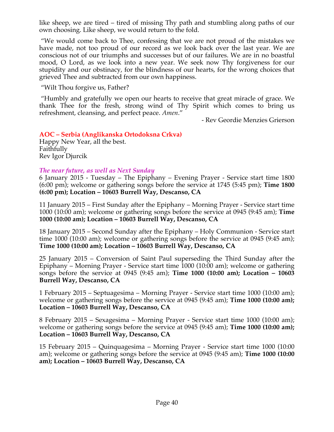like sheep, we are tired – tired of missing Thy path and stumbling along paths of our own choosing. Like sheep, we would return to the fold.

 "We would come back to Thee, confessing that we are not proud of the mistakes we have made, not too proud of our record as we look back over the last year. We are conscious not of our triumphs and successes but of our failures. We are in no boastful mood, O Lord, as we look into a new year. We seek now Thy forgiveness for our stupidity and our obstinacy, for the blindness of our hearts, for the wrong choices that grieved Thee and subtracted from our own happiness.

"Wilt Thou forgive us, Father?

 "Humbly and gratefully we open our hearts to receive that great miracle of grace. We thank Thee for the fresh, strong wind of Thy Spirit which comes to bring us refreshment, cleansing, and perfect peace. *Amen*."

- Rev Geordie Menzies Grierson

## **AOC – Serbia (Anglikanska Ortodoksna Crkva)**

Happy New Year, all the best. Faithfully Rev Igor Djurcik

#### *The near future, as well as Next Sunday*

6 January 2015 - Tuesday – The Epiphany – Evening Prayer - Service start time 1800 (6:00 pm); welcome or gathering songs before the service at 1745 (5:45 pm); **Time 1800 (6:00 pm); Location – 10603 Burrell Way, Descanso, CA**

11 January 2015 – First Sunday after the Epiphany – Morning Prayer - Service start time 1000 (10:00 am); welcome or gathering songs before the service at 0945 (9:45 am); **Time 1000 (10:00 am); Location – 10603 Burrell Way, Descanso, CA**

18 January 2015 – Second Sunday after the Epiphany – Holy Communion - Service start time 1000 (10:00 am); welcome or gathering songs before the service at 0945 (9:45 am); **Time 1000 (10:00 am); Location – 10603 Burrell Way, Descanso, CA**

25 January 2015 – Conversion of Saint Paul superseding the Third Sunday after the Epiphany – Morning Prayer - Service start time 1000 (10:00 am); welcome or gathering songs before the service at 0945 (9:45 am); **Time 1000 (10:00 am); Location – 10603 Burrell Way, Descanso, CA**

1 February 2015 – Septuagesima – Morning Prayer - Service start time 1000 (10:00 am); welcome or gathering songs before the service at 0945 (9:45 am); **Time 1000 (10:00 am); Location – 10603 Burrell Way, Descanso, CA**

8 February 2015 – Sexagesima – Morning Prayer - Service start time 1000 (10:00 am); welcome or gathering songs before the service at 0945 (9:45 am); **Time 1000 (10:00 am); Location – 10603 Burrell Way, Descanso, CA**

15 February 2015 – Quinquagesima – Morning Prayer - Service start time 1000 (10:00 am); welcome or gathering songs before the service at 0945 (9:45 am); **Time 1000 (10:00 am); Location – 10603 Burrell Way, Descanso, CA**